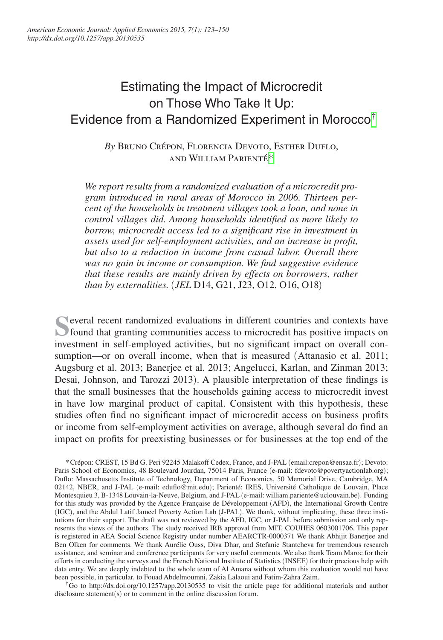# Estimating the Impact of Microcredit on Those Who Take It Up: Evidence from a Randomized Experiment in Morocco[†](#page-0-0)

*By* Bruno Crépon, Florencia Devoto, Esther Duflo, and William Parienté[\\*](#page-0-1)

*We report results from a randomized evaluation of a microcredit program introduced in rural areas of Morocco in 2006. Thirteen percent of the households in treatment villages took a loan, and none in control villages did. Among households identified as more likely to borrow, microcredit access led to a significant rise in investment in assets used for self-employment activities, and an increase in profit, but also to a reduction in income from casual labor. Overall there was no gain in income or consumption. We find suggestive evidence that these results are mainly driven by effects on borrowers, rather than by externalities.* (*JEL* D14, G21, J23, O12, O16, O18)

**S**everal recent randomized evaluations in different countries and contexts have found that granting communities access to microcredit has positive impacts on investment in self-employed activities, but no significant impact on overall consumption—or on overall income, when that is measured (Attanasio et al. 2011; Augsburg et al. 2013; Banerjee et al. 2013; Angelucci, Karlan, and Zinman 2013; Desai, Johnson, and Tarozzi 2013). A plausible interpretation of these findings is that the small businesses that the households gaining access to microcredit invest in have low marginal product of capital. Consistent with this hypothesis, these studies often find no significant impact of microcredit access on business profits or income from self-employment activities on average, although several do find an impact on profits for preexisting businesses or for businesses at the top end of the

<span id="page-0-1"></span>\*Crépon: CREST, 15 Bd G. Peri 92245 Malakoff Cedex, France, and J-PAL (email[:crepon@ensae.fr](mailto:crepon@ensae.fr)); Devoto: Paris School of Economics, 48 Boulevard Jourdan, 75014 Paris, France (e-mail: [fdevoto@povertyactionlab.org](mailto:fdevoto@povertyactionlab.org)); Duflo: Massachusetts Institute of Technology, Department of Economics, 50 Memorial Drive, Cambridge, MA 02142, NBER, and J-PAL (e-mail: [eduflo@mit.edu](mailto:eduflo@mit.edu)); Parienté: IRES, Université Catholique de Louvain, Place Montesquieu 3, B-1348 Louvain-la-Neuve, Belgium, and J-PAL (e-mail: [william.pariente@uclouvain.be](mailto:william.pariente@uclouvain.be)). Funding for this study was provided by the Agence Française de Développement (AFD), the International Growth Centre (IGC), and the Abdul Latif Jameel Poverty Action Lab (J-PAL). We thank, without implicating, these three institutions for their support. The draft was not reviewed by the AFD, IGC, or J-PAL before submission and only represents the views of the authors. The study received IRB approval from MIT, COUHES 0603001706. This paper is registered in AEA Social Science Registry under number AEARCTR-0000371 We thank Abhijit Banerjee and Ben Olken for comments. We thank Aurélie Ouss, Diva Dhar, and Stefanie Stantcheva for tremendous research assistance, and seminar and conference participants for very useful comments. We also thank Team Maroc for their efforts in conducting the surveys and the French National Institute of Statistics (INSEE) for their precious help with data entry. We are deeply indebted to the whole team of Al Amana without whom this evaluation would not have been possible, in particular, to Fouad Abdelmoumni, Zakia Lalaoui and Fatim-Zahra Zaim.

<span id="page-0-0"></span><sup>†</sup>Go to <http://dx.doi.org/10.1257/app.20130535>to visit the article page for additional materials and author disclosure statement(s) or to comment in the online discussion forum.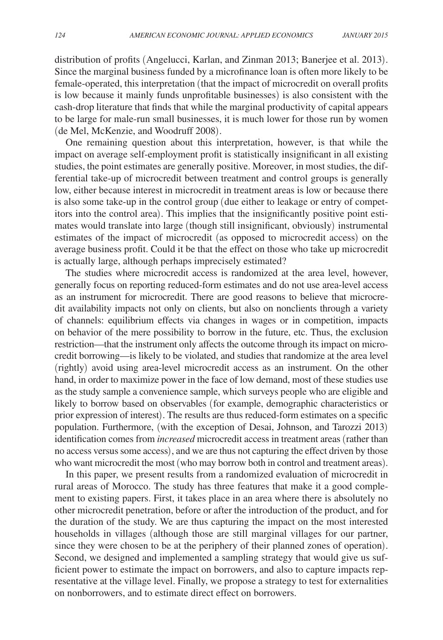distribution of profits (Angelucci, Karlan, and Zinman 2013; Banerjee et al. 2013). Since the marginal business funded by a microfinance loan is often more likely to be female-operated, this interpretation (that the impact of microcredit on overall profits is low because it mainly funds unprofitable businesses) is also consistent with the cash-drop literature that finds that while the marginal productivity of capital appears to be large for male-run small businesses, it is much lower for those run by women (de Mel, McKenzie, and Woodruff 2008).

One remaining question about this interpretation, however, is that while the impact on average self-employment profit is statistically insignificant in all existing studies, the point estimates are generally positive. Moreover, in most studies, the differential take-up of microcredit between treatment and control groups is generally low, either because interest in microcredit in treatment areas is low or because there is also some take-up in the control group (due either to leakage or entry of competitors into the control area). This implies that the insignificantly positive point estimates would translate into large (though still insignificant, obviously) instrumental estimates of the impact of microcredit (as opposed to microcredit access) on the average business profit. Could it be that the effect on those who take up microcredit is actually large, although perhaps imprecisely estimated?

The studies where microcredit access is randomized at the area level, however, generally focus on reporting reduced-form estimates and do not use area-level access as an instrument for microcredit. There are good reasons to believe that microcredit availability impacts not only on clients, but also on nonclients through a variety of channels: equilibrium effects via changes in wages or in competition, impacts on behavior of the mere possibility to borrow in the future, etc. Thus, the exclusion restriction—that the instrument only affects the outcome through its impact on microcredit borrowing—is likely to be violated, and studies that randomize at the area level (rightly) avoid using area-level microcredit access as an instrument. On the other hand, in order to maximize power in the face of low demand, most of these studies use as the study sample a convenience sample, which surveys people who are eligible and likely to borrow based on observables (for example, demographic characteristics or prior expression of interest). The results are thus reduced-form estimates on a specific population. Furthermore, (with the exception of Desai, Johnson, and Tarozzi 2013) identification comes from *increased* microcredit access in treatment areas (rather than no access versus some access), and we are thus not capturing the effect driven by those who want microcredit the most (who may borrow both in control and treatment areas).

In this paper, we present results from a randomized evaluation of microcredit in rural areas of Morocco. The study has three features that make it a good complement to existing papers. First, it takes place in an area where there is absolutely no other microcredit penetration, before or after the introduction of the product, and for the duration of the study. We are thus capturing the impact on the most interested households in villages (although those are still marginal villages for our partner, since they were chosen to be at the periphery of their planned zones of operation). Second, we designed and implemented a sampling strategy that would give us sufficient power to estimate the impact on borrowers, and also to capture impacts representative at the village level. Finally, we propose a strategy to test for externalities on nonborrowers, and to estimate direct effect on borrowers.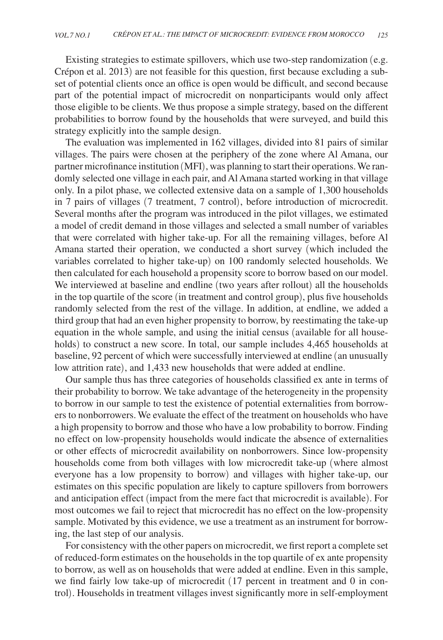Existing strategies to estimate spillovers, which use two-step randomization (e.g. Crépon et al. 2013) are not feasible for this question, first because excluding a subset of potential clients once an office is open would be difficult, and second because part of the potential impact of microcredit on nonparticipants would only affect those eligible to be clients. We thus propose a simple strategy, based on the different probabilities to borrow found by the households that were surveyed, and build this strategy explicitly into the sample design.

The evaluation was implemented in 162 villages, divided into 81 pairs of similar villages. The pairs were chosen at the periphery of the zone where Al Amana, our partner microfinance institution (MFI), was planning to start their operations. We randomly selected one village in each pair, and Al Amana started working in that village only. In a pilot phase, we collected extensive data on a sample of 1,300 households in 7 pairs of villages (7 treatment, 7 control), before introduction of microcredit. Several months after the program was introduced in the pilot villages, we estimated a model of credit demand in those villages and selected a small number of variables that were correlated with higher take-up. For all the remaining villages, before Al Amana started their operation, we conducted a short survey (which included the variables correlated to higher take-up) on 100 randomly selected households. We then calculated for each household a propensity score to borrow based on our model. We interviewed at baseline and endline (two years after rollout) all the households in the top quartile of the score (in treatment and control group), plus five households randomly selected from the rest of the village. In addition, at endline, we added a third group that had an even higher propensity to borrow, by reestimating the take-up equation in the whole sample, and using the initial census (available for all households) to construct a new score. In total, our sample includes 4,465 households at baseline, 92 percent of which were successfully interviewed at endline (an unusually low attrition rate), and 1,433 new households that were added at endline.

Our sample thus has three categories of households classified ex ante in terms of their probability to borrow. We take advantage of the heterogeneity in the propensity to borrow in our sample to test the existence of potential externalities from borrowers to nonborrowers. We evaluate the effect of the treatment on households who have a high propensity to borrow and those who have a low probability to borrow. Finding no effect on low-propensity households would indicate the absence of externalities or other effects of microcredit availability on nonborrowers. Since low-propensity households come from both villages with low microcredit take-up (where almost everyone has a low propensity to borrow) and villages with higher take-up, our estimates on this specific population are likely to capture spillovers from borrowers and anticipation effect (impact from the mere fact that microcredit is available). For most outcomes we fail to reject that microcredit has no effect on the low-propensity sample. Motivated by this evidence, we use a treatment as an instrument for borrowing, the last step of our analysis.

For consistency with the other papers on microcredit, we first report a complete set of reduced-form estimates on the households in the top quartile of ex ante propensity to borrow, as well as on households that were added at endline. Even in this sample, we find fairly low take-up of microcredit (17 percent in treatment and 0 in control). Households in treatment villages invest significantly more in self-employment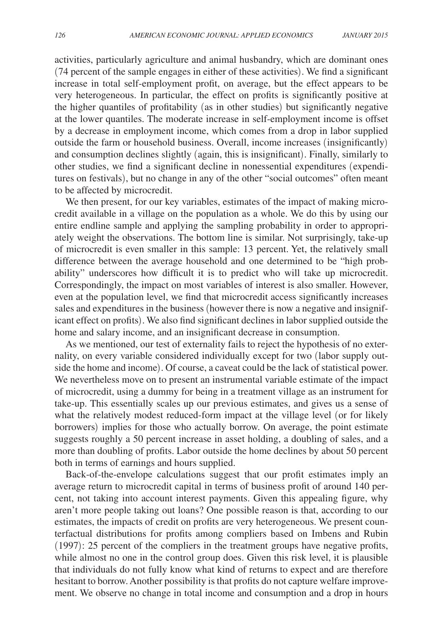activities, particularly agriculture and animal husbandry, which are dominant ones (74 percent of the sample engages in either of these activities). We find a significant increase in total self-employment profit, on average, but the effect appears to be very heterogeneous. In particular, the effect on profits is significantly positive at the higher quantiles of profitability (as in other studies) but significantly negative at the lower quantiles. The moderate increase in self-employment income is offset by a decrease in employment income, which comes from a drop in labor supplied outside the farm or household business. Overall, income increases (insignificantly) and consumption declines slightly (again, this is insignificant). Finally, similarly to other studies, we find a significant decline in nonessential expenditures (expenditures on festivals), but no change in any of the other "social outcomes" often meant to be affected by microcredit.

We then present, for our key variables, estimates of the impact of making microcredit available in a village on the population as a whole. We do this by using our entire endline sample and applying the sampling probability in order to appropriately weight the observations. The bottom line is similar. Not surprisingly, take-up of microcredit is even smaller in this sample: 13 percent. Yet, the relatively small difference between the average household and one determined to be "high probability" underscores how difficult it is to predict who will take up microcredit. Correspondingly, the impact on most variables of interest is also smaller. However, even at the population level, we find that microcredit access significantly increases sales and expenditures in the business (however there is now a negative and insignificant effect on profits). We also find significant declines in labor supplied outside the home and salary income, and an insignificant decrease in consumption.

As we mentioned, our test of externality fails to reject the hypothesis of no externality, on every variable considered individually except for two (labor supply outside the home and income). Of course, a caveat could be the lack of statistical power. We nevertheless move on to present an instrumental variable estimate of the impact of microcredit, using a dummy for being in a treatment village as an instrument for take-up. This essentially scales up our previous estimates, and gives us a sense of what the relatively modest reduced-form impact at the village level (or for likely borrowers) implies for those who actually borrow. On average, the point estimate suggests roughly a 50 percent increase in asset holding, a doubling of sales, and a more than doubling of profits. Labor outside the home declines by about 50 percent both in terms of earnings and hours supplied.

Back-of-the-envelope calculations suggest that our profit estimates imply an average return to microcredit capital in terms of business profit of around 140 percent, not taking into account interest payments. Given this appealing figure, why aren't more people taking out loans? One possible reason is that, according to our estimates, the impacts of credit on profits are very heterogeneous. We present counterfactual distributions for profits among compliers based on Imbens and Rubin (1997): 25 percent of the compliers in the treatment groups have negative profits, while almost no one in the control group does. Given this risk level, it is plausible that individuals do not fully know what kind of returns to expect and are therefore hesitant to borrow. Another possibility is that profits do not capture welfare improvement. We observe no change in total income and consumption and a drop in hours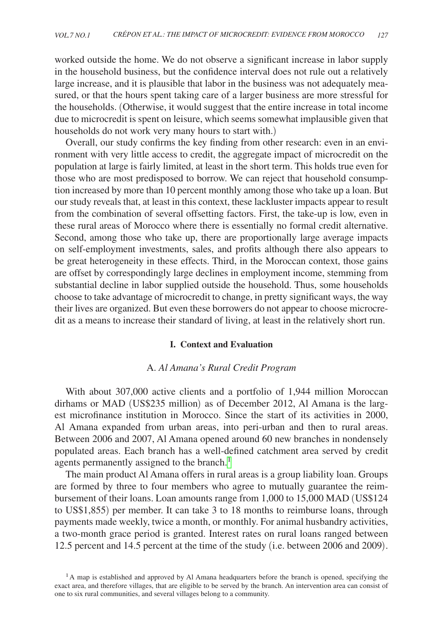worked outside the home. We do not observe a significant increase in labor supply in the household business, but the confidence interval does not rule out a relatively large increase, and it is plausible that labor in the business was not adequately measured, or that the hours spent taking care of a larger business are more stressful for the households. (Otherwise, it would suggest that the entire increase in total income due to microcredit is spent on leisure, which seems somewhat implausible given that households do not work very many hours to start with.)

Overall, our study confirms the key finding from other research: even in an environment with very little access to credit, the aggregate impact of microcredit on the population at large is fairly limited, at least in the short term. This holds true even for those who are most predisposed to borrow. We can reject that household consumption increased by more than 10 percent monthly among those who take up a loan. But our study reveals that, at least in this context, these lackluster impacts appear to result from the combination of several offsetting factors. First, the take-up is low, even in these rural areas of Morocco where there is essentially no formal credit alternative. Second, among those who take up, there are proportionally large average impacts on self-employment investments, sales, and profits although there also appears to be great heterogeneity in these effects. Third, in the Moroccan context, those gains are offset by correspondingly large declines in employment income, stemming from substantial decline in labor supplied outside the household. Thus, some households choose to take advantage of microcredit to change, in pretty significant ways, the way their lives are organized. But even these borrowers do not appear to choose microcredit as a means to increase their standard of living, at least in the relatively short run.

# **I. Context and Evaluation**

# A. *Al Amana's Rural Credit Program*

With about 307,000 active clients and a portfolio of 1,944 million Moroccan dirhams or MAD (US\$235 million) as of December 2012, Al Amana is the largest microfinance institution in Morocco. Since the start of its activities in 2000, Al Amana expanded from urban areas, into peri-urban and then to rural areas. Between 2006 and 2007, Al Amana opened around 60 new branches in nondensely populated areas. Each branch has a well-defined catchment area served by credit agents permanently assigned to the branch.<sup>1</sup>

The main product Al Amana offers in rural areas is a group liability loan. Groups are formed by three to four members who agree to mutually guarantee the reimbursement of their loans. Loan amounts range from 1,000 to 15,000 MAD (US\$124 to US\$1,855) per member. It can take 3 to 18 months to reimburse loans, through payments made weekly, twice a month, or monthly. For animal husbandry activities, a two-month grace period is granted. Interest rates on rural loans ranged between 12.5 percent and 14.5 percent at the time of the study (i.e. between 2006 and 2009).

<span id="page-4-0"></span><sup>&</sup>lt;sup>1</sup>A map is established and approved by Al Amana headquarters before the branch is opened, specifying the exact area, and therefore villages, that are eligible to be served by the branch. An intervention area can consist of one to six rural communities, and several villages belong to a community.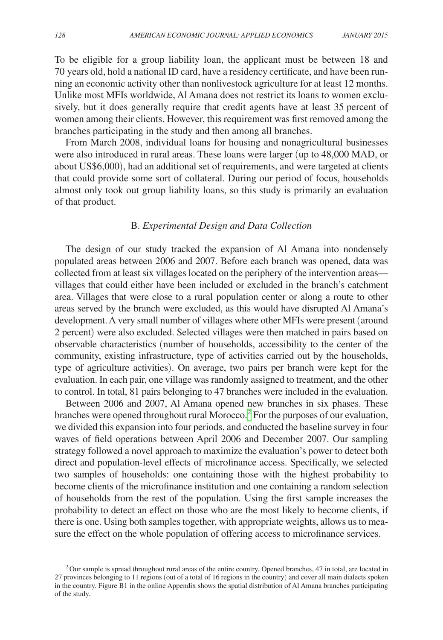To be eligible for a group liability loan, the applicant must be between 18 and 70 years old, hold a national ID card, have a residency certificate, and have been running an economic activity other than nonlivestock agriculture for at least 12 months. Unlike most MFIs worldwide, Al Amana does not restrict its loans to women exclusively, but it does generally require that credit agents have at least 35 percent of women among their clients. However, this requirement was first removed among the branches participating in the study and then among all branches.

From March 2008, individual loans for housing and nonagricultural businesses were also introduced in rural areas. These loans were larger (up to 48,000 MAD, or about US\$6,000), had an additional set of requirements, and were targeted at clients that could provide some sort of collateral. During our period of focus, households almost only took out group liability loans, so this study is primarily an evaluation of that product.

# B. *Experimental Design and Data Collection*

The design of our study tracked the expansion of Al Amana into nondensely populated areas between 2006 and 2007. Before each branch was opened, data was collected from at least six villages located on the periphery of the intervention areas villages that could either have been included or excluded in the branch's catchment area. Villages that were close to a rural population center or along a route to other areas served by the branch were excluded, as this would have disrupted Al Amana's development. A very small number of villages where other MFIs were present (around 2 percent) were also excluded. Selected villages were then matched in pairs based on observable characteristics (number of households, accessibility to the center of the community, existing infrastructure, type of activities carried out by the households, type of agriculture activities). On average, two pairs per branch were kept for the evaluation. In each pair, one village was randomly assigned to treatment, and the other to control. In total, 81 pairs belonging to 47 branches were included in the evaluation.

Between 2006 and 2007, Al Amana opened new branches in six phases. These branches were opened throughout rural Morocco.<sup>2</sup> For the purposes of our evaluation, we divided this expansion into four periods, and conducted the baseline survey in four waves of field operations between April 2006 and December 2007. Our sampling strategy followed a novel approach to maximize the evaluation's power to detect both direct and population-level effects of microfinance access. Specifically, we selected two samples of households: one containing those with the highest probability to become clients of the microfinance institution and one containing a random selection of households from the rest of the population. Using the first sample increases the probability to detect an effect on those who are the most likely to become clients, if there is one. Using both samples together, with appropriate weights, allows us to measure the effect on the whole population of offering access to microfinance services.

<span id="page-5-0"></span> $2$ Our sample is spread throughout rural areas of the entire country. Opened branches, 47 in total, are located in 27 provinces belonging to 11 regions (out of a total of 16 regions in the country) and cover all main dialects spoken in the country. Figure B1 in the online Appendix shows the spatial distribution of Al Amana branches participating of the study.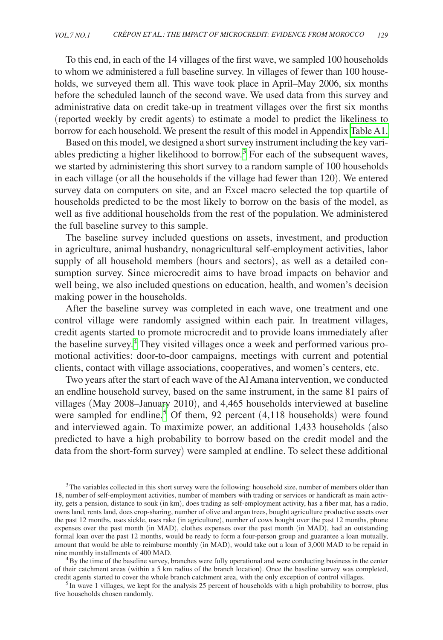To this end, in each of the 14 villages of the first wave, we sampled 100 households to whom we administered a full baseline survey. In villages of fewer than 100 households, we surveyed them all. This wave took place in April–May 2006, six months before the scheduled launch of the second wave. We used data from this survey and administrative data on credit take-up in treatment villages over the first six months (reported weekly by credit agents) to estimate a model to predict the likeliness to borrow for each household. We present the result of this model in Appendix [Table A1.](#page-26-0) 

Based on this model, we designed a short survey instrument including the key vari-ables predicting a higher likelihood to borrow.<sup>[3](#page-6-0)</sup> For each of the subsequent waves, we started by administering this short survey to a random sample of 100 households in each village (or all the households if the village had fewer than 120). We entered survey data on computers on site, and an Excel macro selected the top quartile of households predicted to be the most likely to borrow on the basis of the model, as well as five additional households from the rest of the population. We administered the full baseline survey to this sample.

The baseline survey included questions on assets, investment, and production in agriculture, animal husbandry, nonagricultural self-employment activities, labor supply of all household members (hours and sectors), as well as a detailed consumption survey. Since microcredit aims to have broad impacts on behavior and well being, we also included questions on education, health, and women's decision making power in the households.

After the baseline survey was completed in each wave, one treatment and one control village were randomly assigned within each pair. In treatment villages, credit agents started to promote microcredit and to provide loans immediately after the baseline survey.<sup>4</sup> They visited villages once a week and performed various promotional activities: door-to-door campaigns, meetings with current and potential clients, contact with village associations, cooperatives, and women's centers, etc.

Two years after the start of each wave of the Al Amana intervention, we conducted an endline household survey, based on the same instrument, in the same 81 pairs of villages (May 2008–January 2010), and 4,465 households interviewed at baseline were sampled for endline.<sup>[5](#page-6-2)</sup> Of them, 92 percent  $(4,118)$  households) were found and interviewed again. To maximize power, an additional 1,433 households (also predicted to have a high probability to borrow based on the credit model and the data from the short-form survey) were sampled at endline. To select these additional

<span id="page-6-0"></span><sup>&</sup>lt;sup>3</sup>The variables collected in this short survey were the following: household size, number of members older than 18, number of self-employment activities, number of members with trading or services or handicraft as main activity, gets a pension, distance to souk (in km), does trading as self-employment activity, has a fiber mat, has a radio, owns land, rents land, does crop-sharing, number of olive and argan trees, bought agriculture productive assets over the past 12 months, uses sickle, uses rake (in agriculture), number of cows bought over the past 12 months, phone expenses over the past month (in MAD), clothes expenses over the past month (in MAD), had an outstanding formal loan over the past 12 months, would be ready to form a four-person group and guarantee a loan mutually, amount that would be able to reimburse monthly (in MAD), would take out a loan of 3,000 MAD to be repaid in nine monthly installments of 400 MAD.

<span id="page-6-1"></span> $4By$  the time of the baseline survey, branches were fully operational and were conducting business in the center of their catchment areas (within a 5 km radius of the branch location). Once the baseline survey was completed, credit agents started to cover the whole branch catchment area, with the only exception of control villages.

<span id="page-6-2"></span> $<sup>5</sup>$  In wave 1 villages, we kept for the analysis 25 percent of households with a high probability to borrow, plus</sup> five households chosen randomly.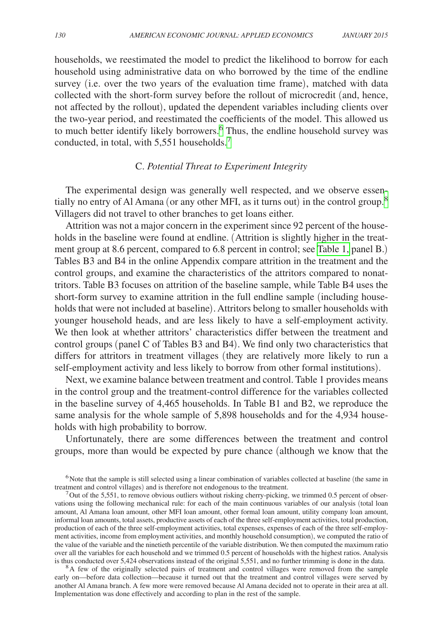households, we reestimated the model to predict the likelihood to borrow for each household using administrative data on who borrowed by the time of the endline survey (i.e. over the two years of the evaluation time frame), matched with data collected with the short-form survey before the rollout of microcredit (and, hence, not affected by the rollout), updated the dependent variables including clients over the two-year period, and reestimated the coefficients of the model. This allowed us to much better identify likely borrowers.<sup>[6](#page-7-0)</sup> Thus, the endline household survey was conducted, in total, with 5,551 households.<sup>[7](#page-7-1)</sup>

# C. *Potential Threat to Experiment Integrity*

The experimental design was generally well respected, and we observe essentially no entry of Al Amana (or any other MFI, as it turns out) in the control group.[8](#page-7-2) Villagers did not travel to other branches to get loans either.

Attrition was not a major concern in the experiment since 92 percent of the households in the baseline were found at endline. (Attrition is slightly higher in the treatment group at 8.6 percent, compared to 6.8 percent in control; see [Table 1,](#page-8-0) panel B.) Tables B3 and B4 in the online Appendix compare attrition in the treatment and the control groups, and examine the characteristics of the attritors compared to nonattritors. Table B3 focuses on attrition of the baseline sample, while Table B4 uses the short-form survey to examine attrition in the full endline sample (including households that were not included at baseline). Attritors belong to smaller households with younger household heads, and are less likely to have a self-employment activity. We then look at whether attritors' characteristics differ between the treatment and control groups (panel C of Tables B3 and B4). We find only two characteristics that differs for attritors in treatment villages (they are relatively more likely to run a self-employment activity and less likely to borrow from other formal institutions).

Next, we examine balance between treatment and control. Table 1 provides means in the control group and the treatment-control difference for the variables collected in the baseline survey of 4,465 households. In Table B1 and B2, we reproduce the same analysis for the whole sample of 5,898 households and for the 4,934 households with high probability to borrow.

Unfortunately, there are some differences between the treatment and control groups, more than would be expected by pure chance (although we know that the

<span id="page-7-2"></span><sup>8</sup>A few of the originally selected pairs of treatment and control villages were removed from the sample early on—before data collection—because it turned out that the treatment and control villages were served by another Al Amana branch. A few more were removed because Al Amana decided not to operate in their area at all. Implementation was done effectively and according to plan in the rest of the sample.

<span id="page-7-0"></span><sup>&</sup>lt;sup>6</sup>Note that the sample is still selected using a linear combination of variables collected at baseline (the same in treatment and control villages) and is therefore not endogenous to the treatment.

<span id="page-7-1"></span><sup>&</sup>lt;sup>7</sup>Out of the 5,551, to remove obvious outliers without risking cherry-picking, we trimmed 0.5 percent of observations using the following mechanical rule: for each of the main continuous variables of our analysis (total loan amount, Al Amana loan amount, other MFI loan amount, other formal loan amount, utility company loan amount, informal loan amounts, total assets, productive assets of each of the three self-employment activities, total production, production of each of the three self-employment activities, total expenses, expenses of each of the three self-employment activities, income from employment activities, and monthly household consumption), we computed the ratio of the value of the variable and the ninetieth percentile of the variable distribution. We then computed the maximum ratio over all the variables for each household and we trimmed 0.5 percent of households with the highest ratios. Analysis is thus conducted over 5,424 observations instead of the original 5,551, and no further trimming is done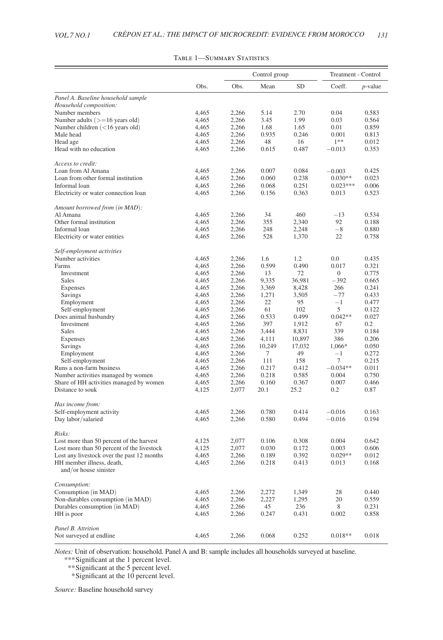<span id="page-8-0"></span>

|                                            |       |       | Control group |           |                | Treatment - Control |  |  |
|--------------------------------------------|-------|-------|---------------|-----------|----------------|---------------------|--|--|
|                                            | Obs.  | Obs.  | Mean          | <b>SD</b> | Coeff.         | <i>p</i> -value     |  |  |
| Panel A. Baseline household sample         |       |       |               |           |                |                     |  |  |
| Household composition:                     |       |       |               |           |                |                     |  |  |
| Number members                             | 4,465 | 2,266 | 5.14          | 2.70      | 0.04           | 0.583               |  |  |
| Number adults $(>=16$ years old)           | 4,465 | 2,266 | 3.45          | 1.99      | 0.03           | 0.564               |  |  |
| Number children (<16 years old)            | 4,465 | 2,266 | 1.68          | 1.65      | 0.01           | 0.859               |  |  |
| Male head                                  | 4,465 | 2,266 | 0.935         | 0.246     | 0.001          | 0.813               |  |  |
| Head age                                   | 4,465 | 2,266 | 48            | 16        | $1**$          | 0.012               |  |  |
| Head with no education                     | 4,465 | 2,266 | 0.615         | 0.487     | $-0.013$       | 0.353               |  |  |
| Access to credit:                          |       |       |               |           |                |                     |  |  |
| Loan from Al Amana                         | 4,465 | 2,266 | 0.007         | 0.084     | $-0.003$       | 0.425               |  |  |
| Loan from other formal institution         | 4,465 | 2,266 | 0.060         | 0.238     | $0.030**$      | 0.023               |  |  |
| Informal loan                              | 4,465 | 2,266 | 0.068         | 0.251     | $0.023***$     | 0.006               |  |  |
| Electricity or water connection loan       | 4,465 | 2,266 | 0.156         | 0.363     | 0.013          | 0.523               |  |  |
| Amount borrowed from (in MAD):             |       |       |               |           |                |                     |  |  |
| Al Amana                                   | 4,465 | 2,266 | 34            | 460       | $-13$          | 0.534               |  |  |
| Other formal institution                   | 4,465 | 2,266 | 355           | 2,340     | 92             | 0.188               |  |  |
| Informal loan                              | 4,465 | 2,266 | 248           | 2,248     | $-8$           | 0.880               |  |  |
| Electricity or water entities              | 4,465 | 2,266 | 528           | 1,370     | 22             | 0.758               |  |  |
|                                            |       |       |               |           |                |                     |  |  |
| Self-employment activities                 |       |       |               |           |                |                     |  |  |
| Number activities                          | 4,465 | 2,266 | 1.6           | 1.2       | 0.0            | 0.435               |  |  |
| Farms                                      | 4,465 | 2,266 | 0.599         | 0.490     | 0.017          | 0.321               |  |  |
| Investment                                 | 4,465 | 2,266 | 13            | 72        | $\overline{0}$ | 0.775               |  |  |
| Sales                                      | 4,465 | 2,266 | 9,335         | 36,981    | $-392$         | 0.665               |  |  |
| Expenses                                   | 4,465 | 2,266 | 3,369         | 8,428     | 266            | 0.241               |  |  |
| Savings                                    | 4,465 | 2,266 | 1,271         | 3,505     | $-77$          | 0.433               |  |  |
| Employment                                 | 4,465 | 2,266 | 22            | 95        | $-1$           | 0.477               |  |  |
| Self-employment                            | 4,465 | 2,266 | 61            | 102       | 5              | 0.122               |  |  |
| Does animal husbandry                      | 4,465 | 2,266 | 0.533         | 0.499     | $0.042**$      | 0.027               |  |  |
| Investment                                 | 4,465 | 2,266 | 397           | 1,912     | 67             | 0.2                 |  |  |
| Sales                                      | 4,465 | 2,266 | 3,444         | 8,831     | 339            | 0.184               |  |  |
| Expenses                                   | 4,465 | 2,266 | 4,111         | 10,897    | 386            | 0.206               |  |  |
| Savings                                    | 4,465 | 2,266 | 10,249        | 17,032    | 1,066*         | 0.050               |  |  |
| Employment                                 | 4,465 | 2,266 | 7             | 49        | $^{-1}$        | 0.272               |  |  |
| Self-employment                            | 4,465 | 2,266 | 111           | 158       | 7              | 0.215               |  |  |
| Runs a non-farm business                   | 4,465 | 2,266 | 0.217         | 0.412     | $-0.034**$     | 0.011               |  |  |
| Number activities managed by women         | 4,465 | 2,266 | 0.218         | 0.585     | 0.004          | 0.750               |  |  |
| Share of HH activities managed by women    | 4,465 | 2,266 | 0.160         | 0.367     | 0.007          | 0.466               |  |  |
| Distance to souk                           | 4,125 | 2,077 | 20.1          | 25.2      | 0.2            | 0.87                |  |  |
| Has income from:                           |       |       |               |           |                |                     |  |  |
| Self-employment activity                   | 4,465 | 2,266 | 0.780         | 0.414     | $-0.016$       | 0.163               |  |  |
| Day labor/salaried                         | 4,465 | 2,266 | 0.580         | 0.494     | $-0.016$       | 0.194               |  |  |
| Risks:                                     |       |       |               |           |                |                     |  |  |
| Lost more than 50 percent of the harvest   | 4,125 | 2,077 | 0.106         | 0.308     | 0.004          | 0.642               |  |  |
| Lost more than 50 percent of the livestock | 4,125 | 2,077 | 0.030         | 0.172     | 0.003          | 0.606               |  |  |
| Lost any livestock over the past 12 months | 4,465 | 2,266 | 0.189         | 0.392     | $0.029**$      | 0.012               |  |  |
| HH member illness, death,                  | 4,465 | 2,266 | 0.218         | 0.413     | 0.013          | 0.168               |  |  |
| and/or house sinister                      |       |       |               |           |                |                     |  |  |
| Consumption:                               |       |       |               |           |                |                     |  |  |
| Consumption (in MAD)                       | 4,465 | 2,266 | 2,272         | 1,349     | 28             | 0.440               |  |  |
| Non-durables consumption (in MAD)          | 4,465 | 2,266 | 2,227         | 1,295     | 20             | 0.559               |  |  |
|                                            | 4,465 | 2,266 | 45            | 236       | 8              | 0.231               |  |  |
| Durables consumption (in MAD)              |       |       | 0.247         | 0.431     | 0.002          | 0.858               |  |  |
| HH is poor                                 | 4,465 | 2,266 |               |           |                |                     |  |  |
| Panel B. Attrition                         |       |       |               |           |                |                     |  |  |
| Not surveyed at endline.                   | 4.465 | 2.266 | 0.068         | 0.252     | $0.018**$      | 0.018               |  |  |

### Table 1—Summary Statistics

*Notes:* Unit of observation: household. Panel A and B: sample includes all households surveyed at baseline.

*\*\*\**Significant at the 1 percent level.

*\*\**Significant at the 5 percent level.

 *\**Significant at the 10 percent level.

*Source:* Baseline household survey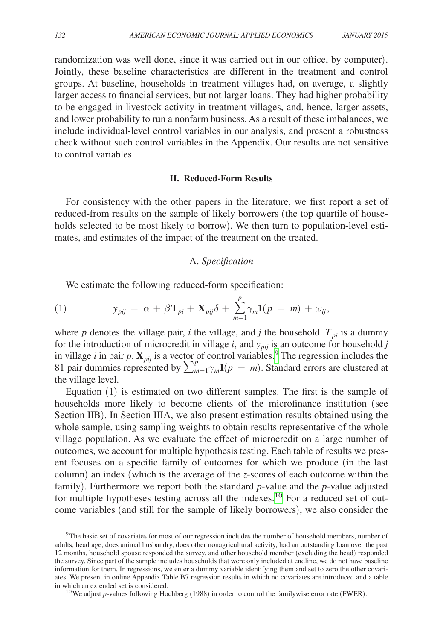randomization was well done, since it was carried out in our office, by computer). Jointly, these baseline characteristics are different in the treatment and control groups. At baseline, households in treatment villages had, on average, a slightly larger access to financial services, but not larger loans. They had higher probability to be engaged in livestock activity in treatment villages, and, hence, larger assets, and lower probability to run a nonfarm business. As a result of these imbalances, we include individual-level control variables in our analysis, and present a robustness check without such control variables in the Appendix. Our results are not sensitive to control variables.

## **II. Reduced-Form Results**

For consistency with the other papers in the literature, we first report a set of reduced-from results on the sample of likely borrowers (the top quartile of households selected to be most likely to borrow). We then turn to population-level estimates, and estimates of the impact of the treatment on the treated.

# A. *Specification*

We estimate the following reduced-form specification:

(1) 
$$
y_{pi} = \alpha + \beta \mathbf{T}_{pi} + \mathbf{X}_{pi} \delta + \sum_{m=1}^{p} \gamma_m \mathbf{1}(p = m) + \omega_{ij},
$$

where *p* denotes the village pair, *i* the village, and *j* the household.  $T_{pi}$  is a dummy for the introduction of microcredit in village  $i$ , and  $y_{pij}$  is an outcome for household  $j$ in village *i* in pair p.  $\mathbf{X}_{pi}$  is a vector of control variables.<sup>9</sup> The regression includes the 81 pair dummies represented by  $\sum_{m=1}^{p} \gamma_m \mathbf{1}(p=m)$ . Standard errors are clustered at the village level.

Equation (1) is estimated on two different samples. The first is the sample of households more likely to become clients of the microfinance institution (see Section IIB). In Section IIIA, we also present estimation results obtained using the whole sample, using sampling weights to obtain results representative of the whole village population. As we evaluate the effect of microcredit on a large number of outcomes, we account for multiple hypothesis testing. Each table of results we present focuses on a specific family of outcomes for which we produce (in the last column) an index (which is the average of the *z*-scores of each outcome within the family). Furthermore we report both the standard *p*-value and the *p*-value adjusted for multiple hypotheses testing across all the indexes.<sup>[10](#page-9-1)</sup> For a reduced set of outcome variables (and still for the sample of likely borrowers), we also consider the

<span id="page-9-1"></span>

<span id="page-9-0"></span><sup>&</sup>lt;sup>9</sup>The basic set of covariates for most of our regression includes the number of household members, number of adults, head age, does animal husbandry, does other nonagricultural activity, had an outstanding loan over the past 12 months, household spouse responded the survey, and other household member (excluding the head) responded the survey. Since part of the sample includes households that were only included at endline, we do not have baseline information for them. In regressions, we enter a dummy variable identifying them and set to zero the other covariates. We present in online Appendix Table B7 regression results in which no covariates are introduced and a table in which an extended set is considered.<br><sup>10</sup>We adjust *p*-values following Hochberg (1988) in order to control the familywise error rate (FWER).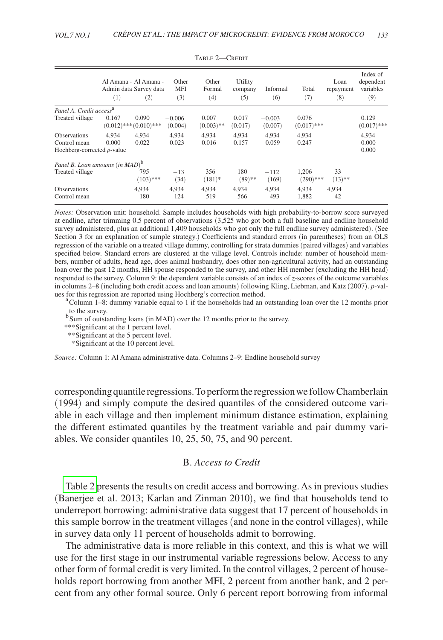|                                                                   | (1)            | Al Amana - Al Amana -<br>Admin data Survey data<br>$\left( 2\right)$ | Other<br><b>MFI</b><br>(3) | Other<br>Formal<br>(4) | Utility<br>company<br>(5) | Informal<br>(6)     | Total<br>(7)           | Loan<br>repayment<br>(8) | Index of<br>dependent<br>variables<br>(9) |
|-------------------------------------------------------------------|----------------|----------------------------------------------------------------------|----------------------------|------------------------|---------------------------|---------------------|------------------------|--------------------------|-------------------------------------------|
| Panel A. Credit access <sup>a</sup>                               |                |                                                                      |                            |                        |                           |                     |                        |                          |                                           |
| Treated village                                                   | 0.167          | 0.090<br>$(0.012)$ *** $(0.010)$ ***                                 | $-0.006$<br>(0.004)        | 0.007<br>$(0.003)$ **  | 0.017<br>(0.017)          | $-0.003$<br>(0.007) | 0.076<br>$(0.017)$ *** |                          | 0.129<br>$(0.017)$ ***                    |
| <b>Observations</b><br>Control mean<br>Hochberg-corrected p-value | 4.934<br>0.000 | 4.934<br>0.022                                                       | 4.934<br>0.023             | 4.934<br>0.016         | 4.934<br>0.157            | 4.934<br>0.059      | 4.934<br>0.247         |                          | 4.934<br>0.000<br>0.000                   |
| Panel B. Loan amounts (in MAD) <sup>b</sup>                       |                |                                                                      |                            |                        |                           |                     |                        |                          |                                           |
| Treated village                                                   |                | 795<br>$(103)$ ***                                                   | $-13$<br>(34)              | 356<br>$(181)^*$       | 180<br>$(89)$ **          | $-112$<br>(169)     | 1.206<br>$(290)$ ***   | 33<br>$(13)$ **          |                                           |
| <b>Observations</b><br>Control mean                               |                | 4.934<br>180                                                         | 4.934<br>124               | 4,934<br>519           | 4.934<br>566              | 4,934<br>493        | 4.934<br>1,882         | 4,934<br>42              |                                           |

TABLE 2-CREDIT

*Notes:* Observation unit: household. Sample includes households with high probability-to-borrow score surveyed at endline, after trimming 0.5 percent of observations (3,525 who got both a full baseline and endline household survey administered, plus an additional 1,409 households who got only the full endline survey administered). (See Section 3 for an explanation of sample strategy.) Coefficients and standard errors (in parentheses) from an OLS regression of the variable on a treated village dummy, controlling for strata dummies (paired villages) and variables specified below. Standard errors are clustered at the village level. Controls include: number of household members, number of adults, head age, does animal husbandry, does other non-agricultural activity, had an outstanding loan over the past 12 months, HH spouse responded to the survey, and other HH member (excluding the HH head) responded to the survey. Column 9: the dependent variable consists of an index of *z*-scores of the outcome variables in columns 2–8 (including both credit access and loan amounts) following Kling, Liebman, and Katz (2007). *p*-val-<br>ues for this regression are reported using Hochberg's correction method.

<sup>a</sup>Column 1–8: dummy variable equal to 1 if the households had an outstanding loan over the 12 months prior to the survey.

 $b$ Sum of outstanding loans (in MAD) over the 12 months prior to the survey.

*\*\*\**Significant at the 1 percent level.

*\*\**Significant at the 5 percent level.

 *\**Significant at the 10 percent level.

*Source:* Column 1: Al Amana administrative data. Columns 2–9: Endline household survey

corresponding quantile regressions. To perform the regression we follow Chamberlain (1994) and simply compute the desired quantiles of the considered outcome variable in each village and then implement minimum distance estimation, explaining the different estimated quantiles by the treatment variable and pair dummy variables. We consider quantiles 10, 25, 50, 75, and 90 percent.

# B. *Access to Credit*

Table 2 presents the results on credit access and borrowing. As in previous studies (Banerjee et al. 2013; Karlan and Zinman 2010), we find that households tend to underreport borrowing: administrative data suggest that 17 percent of households in this sample borrow in the treatment villages (and none in the control villages), while in survey data only 11 percent of households admit to borrowing.

The administrative data is more reliable in this context, and this is what we will use for the first stage in our instrumental variable regressions below. Access to any other form of formal credit is very limited. In the control villages, 2 percent of households report borrowing from another MFI, 2 percent from another bank, and 2 percent from any other formal source. Only 6 percent report borrowing from informal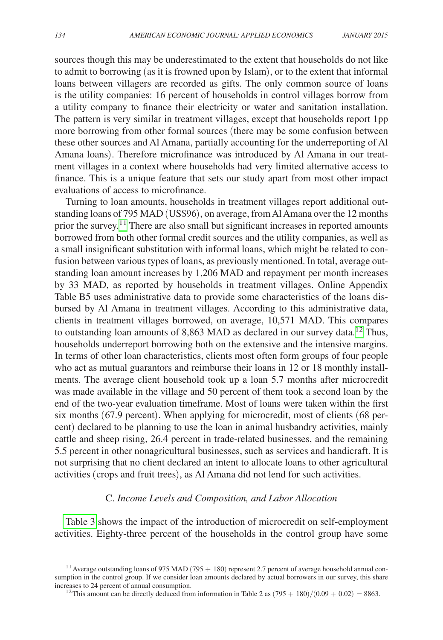sources though this may be underestimated to the extent that households do not like to admit to borrowing (as it is frowned upon by Islam), or to the extent that informal loans between villagers are recorded as gifts. The only common source of loans is the utility companies: 16 percent of households in control villages borrow from a utility company to finance their electricity or water and sanitation installation. The pattern is very similar in treatment villages, except that households report 1pp more borrowing from other formal sources (there may be some confusion between these other sources and Al Amana, partially accounting for the underreporting of Al Amana loans). Therefore microfinance was introduced by Al Amana in our treatment villages in a context where households had very limited alternative access to finance. This is a unique feature that sets our study apart from most other impact evaluations of access to microfinance.

Turning to loan amounts, households in treatment villages report additional outstanding loans of 795 MAD (US\$96), on average, from Al Amana over the 12 months prior the survey.<sup>[11](#page-11-0)</sup> There are also small but significant increases in reported amounts borrowed from both other formal credit sources and the utility companies, as well as a small insignificant substitution with informal loans, which might be related to confusion between various types of loans, as previously mentioned. In total, average outstanding loan amount increases by 1,206 MAD and repayment per month increases by 33 MAD, as reported by households in treatment villages. Online Appendix Table B5 uses administrative data to provide some characteristics of the loans disbursed by Al Amana in treatment villages. According to this administrative data, clients in treatment villages borrowed, on average, 10,571 MAD. This compares to outstanding loan amounts of 8,863 MAD as declared in our survey data.<sup>12</sup> Thus, households underreport borrowing both on the extensive and the intensive margins. In terms of other loan characteristics, clients most often form groups of four people who act as mutual guarantors and reimburse their loans in 12 or 18 monthly installments. The average client household took up a loan 5.7 months after microcredit was made available in the village and 50 percent of them took a second loan by the end of the two-year evaluation timeframe. Most of loans were taken within the first six months (67.9 percent). When applying for microcredit, most of clients (68 percent) declared to be planning to use the loan in animal husbandry activities, mainly cattle and sheep rising, 26.4 percent in trade-related businesses, and the remaining 5.5 percent in other nonagricultural businesses, such as services and handicraft. It is not surprising that no client declared an intent to allocate loans to other agricultural activities (crops and fruit trees), as Al Amana did not lend for such activities.

# C. *Income Levels and Composition, and Labor Allocation*

[Table 3](#page-12-0) shows the impact of the introduction of microcredit on self-employment activities. Eighty-three percent of the households in the control group have some

<span id="page-11-1"></span><sup>12</sup> This amount can be directly deduced from information in Table 2 as  $(795 + 180)/(0.09 + 0.02) = 8863$ .

<span id="page-11-0"></span><sup>&</sup>lt;sup>11</sup> Average outstanding loans of 975 MAD (795  $+$  180) represent 2.7 percent of average household annual consumption in the control group. If we consider loan amounts declared by actual borrowers in our survey, this share increases to 24 percent of annual consumption.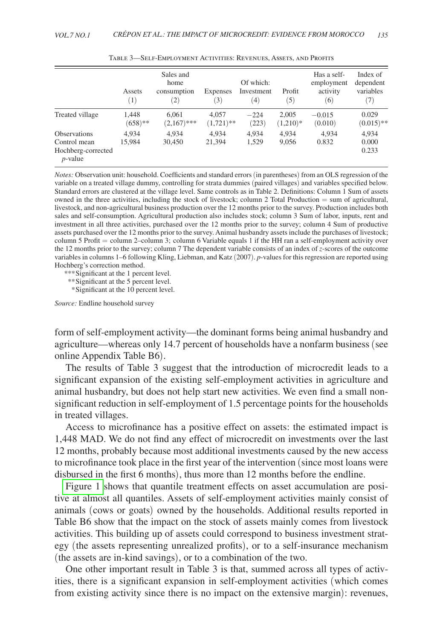<span id="page-12-0"></span>

|                                                                         | Assets<br>(1)       | Sales and<br>home<br>consumption<br>$\left( 2\right)$ | Expenses<br>$\left(3\right)$ | Of which:<br>Investment<br>$\left(4\right)$ | Profit<br>(5)       | Has a self-<br>employment<br>activity<br>(6) | Index of<br>dependent<br>variables<br>(7) |
|-------------------------------------------------------------------------|---------------------|-------------------------------------------------------|------------------------------|---------------------------------------------|---------------------|----------------------------------------------|-------------------------------------------|
| Treated village                                                         | 1.448<br>$(658)$ ** | 6.061<br>$(2,167)$ ***                                | 4.057<br>$(1,721)$ **        | $-224$<br>(223)                             | 2.005<br>$(1,210)*$ | $-0.015$<br>(0.010)                          | 0.029<br>$(0.015)$ **                     |
| <b>Observations</b><br>Control mean<br>Hochberg-corrected<br>$p$ -value | 4.934<br>15.984     | 4.934<br>30,450                                       | 4.934<br>21,394              | 4.934<br>1,529                              | 4.934<br>9,056      | 4.934<br>0.832                               | 4.934<br>0.000<br>0.233                   |

Table 3—Self-Employment Activities: Revenues, Assets, and Profits

*Notes:* Observation unit: household. Coefficients and standard errors (in parentheses) from an OLS regression of the variable on a treated village dummy, controlling for strata dummies (paired villages) and variables specified below. Standard errors are clustered at the village level. Same controls as in Table 2. Definitions: Column 1 Sum of assets owned in the three activities, including the stock of livestock; column 2 Total Production = sum of agricultural, livestock, and non-agricultural business production over the 12 months prior to the survey. Production includes both sales and self-consumption. Agricultural production also includes stock; column 3 Sum of labor, inputs, rent and investment in all three activities, purchased over the 12 months prior to the survey; column 4 Sum of productive assets purchased over the 12 months prior to the survey. Animal husbandry assets include the purchases of livestock; column 5 Profit = column 2–column 3; column 6 Variable equals 1 if the HH ran a self-employment activity over the 12 months prior to the survey; column 7 The dependent variable consists of an index of *z*-scores of the outcome variables in columns 1–6 following Kling, Liebman, and Katz (2007). *p*-values for this regression are reported using Hochberg's correction method.

*\*\*\**Significant at the 1 percent level.

*\*\**Significant at the 5 percent level.

 *\**Significant at the 10 percent level.

*Source:* Endline household survey

form of self-employment activity—the dominant forms being animal husbandry and agriculture—whereas only 14.7 percent of households have a nonfarm business (see online Appendix Table B6).

The results of Table 3 suggest that the introduction of microcredit leads to a significant expansion of the existing self-employment activities in agriculture and animal husbandry, but does not help start new activities. We even find a small nonsignificant reduction in self-employment of 1.5 percentage points for the households in treated villages.

Access to microfinance has a positive effect on assets: the estimated impact is 1,448 MAD. We do not find any effect of microcredit on investments over the last 12 months, probably because most additional investments caused by the new access to microfinance took place in the first year of the intervention (since most loans were disbursed in the first 6 months), thus more than 12 months before the endline.

[Figure 1](#page-13-0) shows that quantile treatment effects on asset accumulation are positive at almost all quantiles. Assets of self-employment activities mainly consist of animals (cows or goats) owned by the households. Additional results reported in Table B6 show that the impact on the stock of assets mainly comes from livestock activities. This building up of assets could correspond to business investment strategy (the assets representing unrealized profits), or to a self-insurance mechanism (the assets are in-kind savings), or to a combination of the two.

One other important result in Table 3 is that, summed across all types of activities, there is a significant expansion in self-employment activities (which comes from existing activity since there is no impact on the extensive margin): revenues,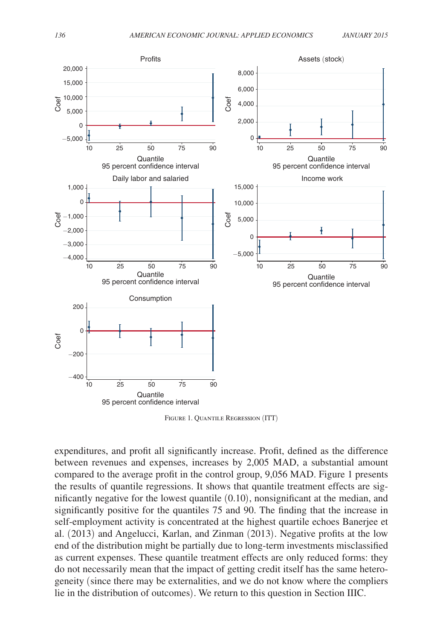<span id="page-13-0"></span>

Figure 1. Quantile Regression (ITT)

expenditures, and profit all significantly increase. Profit, defined as the difference between revenues and expenses, increases by 2,005 MAD, a substantial amount compared to the average profit in the control group, 9,056 MAD. Figure 1 presents the results of quantile regressions. It shows that quantile treatment effects are significantly negative for the lowest quantile (0.10), nonsignificant at the median, and significantly positive for the quantiles 75 and 90. The finding that the increase in self-employment activity is concentrated at the highest quartile echoes Banerjee et al. (2013) and Angelucci, Karlan, and Zinman (2013). Negative profits at the low end of the distribution might be partially due to long-term investments misclassified as current expenses. These quantile treatment effects are only reduced forms: they do not necessarily mean that the impact of getting credit itself has the same heterogeneity (since there may be externalities, and we do not know where the compliers lie in the distribution of outcomes). We return to this question in Section IIIC.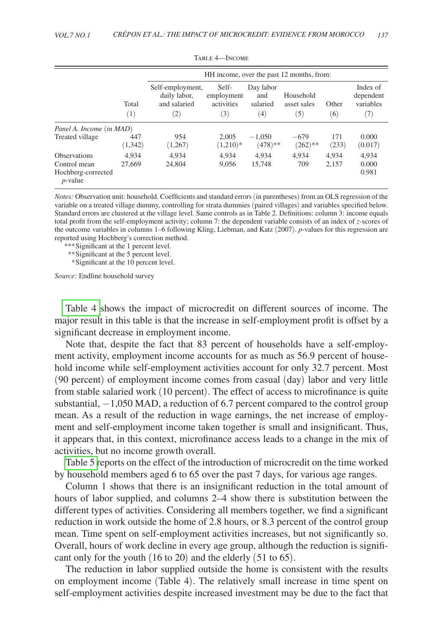|                                                                         |                 |                                                                       | HH income, over the past 12 months, from: |                                     |                                 |                |                                           |  |  |
|-------------------------------------------------------------------------|-----------------|-----------------------------------------------------------------------|-------------------------------------------|-------------------------------------|---------------------------------|----------------|-------------------------------------------|--|--|
|                                                                         | Total<br>(1)    | Self-employment,<br>daily labor,<br>and salaried<br>$\left( 2\right)$ | Self-<br>employment<br>activities<br>(3)  | Day labor<br>and<br>salaried<br>(4) | Household<br>asset sales<br>(5) | Other<br>(6)   | Index of<br>dependent<br>variables<br>(7) |  |  |
| Panel A. Income (in MAD)                                                |                 |                                                                       |                                           |                                     |                                 |                |                                           |  |  |
| Treated village                                                         | 447<br>(1, 342) | 954<br>(1,267)                                                        | 2.005<br>$(1,210)*$                       | $-1,050$<br>$(478)**$               | $-679$<br>$(262)$ **            | 171<br>(233)   | 0.000<br>(0.017)                          |  |  |
| <b>Observations</b><br>Control mean<br>Hochberg-corrected<br>$p$ -value | 4.934<br>27,669 | 4.934<br>24,804                                                       | 4.934<br>9.056                            | 4.934<br>15,748                     | 4.934<br>709                    | 4.934<br>2,157 | 4.934<br>0.000<br>0.981                   |  |  |

|  | Table 4—Income |  |
|--|----------------|--|
|--|----------------|--|

*Notes:* Observation unit: household. Coefficients and standard errors (in parentheses) from an OLS regression of the variable on a treated village dummy, controlling for strata dummies (paired villages) and variables specified below. Standard errors are clustered at the village level. Same controls as in Table 2. Definitions: column 3: income equals total profit from the self-employment activity; column 7: the dependent variable consists of an index of *z*-scores of the outcome variables in columns 1–6 following Kling, Liebman, and Katz (2007). *p*-values for this regression are reported using Hochberg's correction method.

*\*\*\**Significant at the 1 percent level.

*\*\**Significant at the 5 percent level.

 *\**Significant at the 10 percent level.

*Source:* Endline household survey

Table 4 shows the impact of microcredit on different sources of income. The major result in this table is that the increase in self-employment profit is offset by a significant decrease in employment income.

Note that, despite the fact that 83 percent of households have a self-employment activity, employment income accounts for as much as 56.9 percent of household income while self-employment activities account for only 32.7 percent. Most (90 percent) of employment income comes from casual (day) labor and very little from stable salaried work (10 percent). The effect of access to microfinance is quite substantial, −1,050 MAD, a reduction of 6.7 percent compared to the control group mean. As a result of the reduction in wage earnings, the net increase of employment and self-employment income taken together is small and insignificant. Thus, it appears that, in this context, microfinance access leads to a change in the mix of activities, but no income growth overall.

[Table 5 r](#page-15-0)eports on the effect of the introduction of microcredit on the time worked by household members aged 6 to 65 over the past 7 days, for various age ranges.

Column 1 shows that there is an insignificant reduction in the total amount of hours of labor supplied, and columns 2–4 show there is substitution between the different types of activities. Considering all members together, we find a significant reduction in work outside the home of 2.8 hours, or 8.3 percent of the control group mean. Time spent on self-employment activities increases, but not significantly so. Overall, hours of work decline in every age group, although the reduction is significant only for the youth (16 to 20) and the elderly (51 to 65).

The reduction in labor supplied outside the home is consistent with the results on employment income (Table 4). The relatively small increase in time spent on self-employment activities despite increased investment may be due to the fact that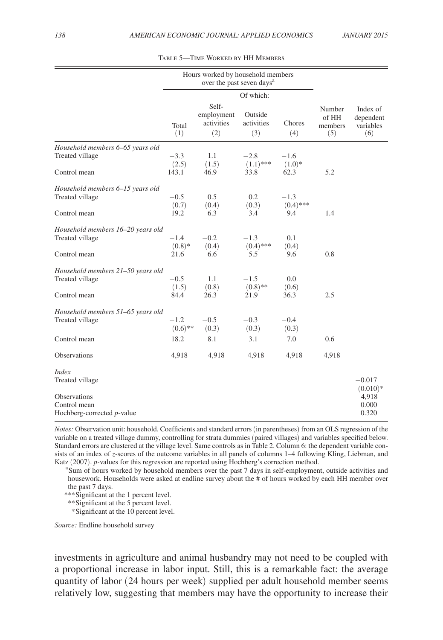<span id="page-15-0"></span>

|                                            |                     | Hours worked by household members<br>over the past seven days <sup>a</sup> |                              |                       |                                   |                                           |
|--------------------------------------------|---------------------|----------------------------------------------------------------------------|------------------------------|-----------------------|-----------------------------------|-------------------------------------------|
|                                            |                     |                                                                            | Of which:                    |                       |                                   |                                           |
|                                            | Total<br>(1)        | Self-<br>employment<br>activities<br>(2)                                   | Outside<br>activities<br>(3) | Chores<br>(4)         | Number<br>of HH<br>members<br>(5) | Index of<br>dependent<br>variables<br>(6) |
| Household members 6–65 years old           |                     |                                                                            |                              |                       |                                   |                                           |
| Treated village                            | $-3.3$<br>(2.5)     | 1.1<br>(1.5)                                                               | $-2.8$<br>$(1.1)$ ***        | $-1.6$<br>$(1.0)*$    |                                   |                                           |
| Control mean                               | 143.1               | 46.9                                                                       | 33.8                         | 62.3                  | 5.2                               |                                           |
| Household members 6-15 years old           |                     |                                                                            |                              |                       |                                   |                                           |
| Treated village                            | $-0.5$<br>(0.7)     | 0.5<br>(0.4)                                                               | 0.2<br>(0.3)                 | $-1.3$<br>$(0.4)$ *** |                                   |                                           |
| Control mean                               | 19.2                | 6.3                                                                        | 3.4                          | 9.4                   | 1.4                               |                                           |
| Household members 16-20 years old          |                     |                                                                            |                              |                       |                                   |                                           |
| Treated village                            | $-1.4$<br>$(0.8)*$  | $-0.2$<br>(0.4)                                                            | $-1.3$<br>$(0.4)$ ***        | 0.1<br>(0.4)          |                                   |                                           |
| Control mean                               | 21.6                | 6.6                                                                        | 5.5                          | 9.6                   | 0.8                               |                                           |
| Household members 21-50 years old          |                     |                                                                            |                              |                       |                                   |                                           |
| Treated village                            | $-0.5$<br>(1.5)     | 1.1<br>(0.8)                                                               | $-1.5$<br>$(0.8)$ **         | 0.0<br>(0.6)          |                                   |                                           |
| Control mean                               | 84.4                | 26.3                                                                       | 21.9                         | 36.3                  | 2.5                               |                                           |
| Household members 51–65 years old          |                     |                                                                            |                              |                       |                                   |                                           |
| Treated village                            | $-1.2$<br>$(0.6)**$ | $-0.5$<br>(0.3)                                                            | $-0.3$<br>(0.3)              | $-0.4$<br>(0.3)       |                                   |                                           |
| Control mean                               | 18.2                | 8.1                                                                        | 3.1                          | 7.0                   | 0.6                               |                                           |
| Observations                               | 4,918               | 4,918                                                                      | 4,918                        | 4,918                 | 4,918                             |                                           |
| <i>Index</i><br>Treated village            |                     |                                                                            |                              |                       |                                   | $-0.017$                                  |
| Observations                               |                     |                                                                            |                              |                       |                                   | $(0.010)*$<br>4,918                       |
| Control mean<br>Hochberg-corrected p-value |                     |                                                                            |                              |                       |                                   | 0.000<br>0.320                            |

| TABLE 5-TIME WORKED BY HH MEMBERS |  |  |
|-----------------------------------|--|--|
|-----------------------------------|--|--|

*Notes:* Observation unit: household. Coefficients and standard errors (in parentheses) from an OLS regression of the variable on a treated village dummy, controlling for strata dummies (paired villages) and variables specified below. Standard errors are clustered at the village level. Same controls as in Table 2. Column 6: the dependent variable consists of an index of *z-*scores of the outcome variables in all panels of columns 1–4 following Kling, Liebman, and Katz (2007). *p*-values for this regression are reported using Hochberg's correction method.

<sup>a</sup>Sum of hours worked by household members over the past 7 days in self-employment, outside activities and housework. Households were asked at endline survey about the # of hours worked by each HH member over the past 7 days.

*\*\*\**Significant at the 1 percent level.

*\*\**Significant at the 5 percent level.

 *\**Significant at the 10 percent level.

*Source:* Endline household survey

investments in agriculture and animal husbandry may not need to be coupled with a proportional increase in labor input. Still, this is a remarkable fact: the average quantity of labor (24 hours per week) supplied per adult household member seems relatively low, suggesting that members may have the opportunity to increase their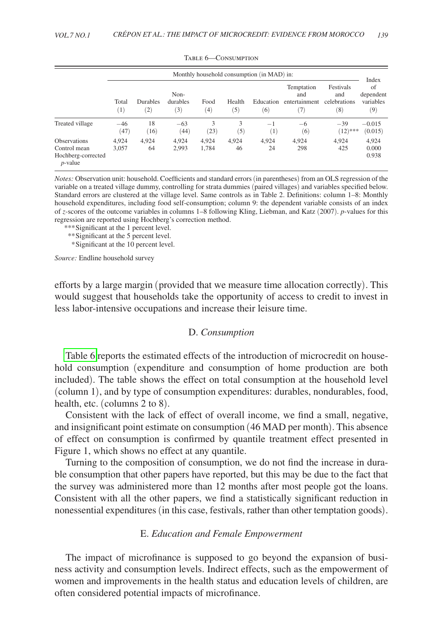|                                                                         | Monthly household consumption (in MAD) in: |                        |                         |                |               |                             |                                           |                                         | Index                               |
|-------------------------------------------------------------------------|--------------------------------------------|------------------------|-------------------------|----------------|---------------|-----------------------------|-------------------------------------------|-----------------------------------------|-------------------------------------|
|                                                                         | Total<br>(1)                               | <b>Durables</b><br>(2) | Non-<br>durables<br>(3) | Food<br>(4)    | Health<br>(5) | Education<br>(6)            | Temptation<br>and<br>entertainment<br>(7) | Festivals<br>and<br>celebrations<br>(8) | of<br>dependent<br>variables<br>(9) |
| Treated village                                                         | $-46$<br>(47)                              | 18<br>(16)             | $-63$<br>(44)           | 3<br>(23)      | 3<br>(5)      | $^{-1}$<br>$\left(1\right)$ | $-6$<br>(6)                               | $-39$<br>$(12)$ ***                     | $-0.015$<br>(0.015)                 |
| <b>Observations</b><br>Control mean<br>Hochberg-corrected<br>$p$ -value | 4,924<br>3,057                             | 4,924<br>64            | 4.924<br>2,993          | 4.924<br>1,784 | 4.924<br>46   | 4.924<br>24                 | 4,924<br>298                              | 4.924<br>425                            | 4,924<br>0.000<br>0.938             |

TABLE 6-CONSUMPTION

*Notes:* Observation unit: household. Coefficients and standard errors (in parentheses) from an OLS regression of the variable on a treated village dummy, controlling for strata dummies (paired villages) and variables specified below. Standard errors are clustered at the village level. Same controls as in Table 2. Definitions: column 1–8: Monthly household expenditures, including food self-consumption; column 9: the dependent variable consists of an index of *z-*scores of the outcome variables in columns 1–8 following Kling, Liebman, and Katz (2007). *p-*values for this regression are reported using Hochberg's correction method.

*\*\*\**Significant at the 1 percent level.

*\*\**Significant at the 5 percent level.

 *\**Significant at the 10 percent level.

*Source:* Endline household survey

efforts by a large margin (provided that we measure time allocation correctly). This would suggest that households take the opportunity of access to credit to invest in less labor-intensive occupations and increase their leisure time.

### D. *Consumption*

Table 6 reports the estimated effects of the introduction of microcredit on household consumption (expenditure and consumption of home production are both included). The table shows the effect on total consumption at the household level (column 1), and by type of consumption expenditures: durables, nondurables, food, health, etc. (columns 2 to 8).

Consistent with the lack of effect of overall income, we find a small, negative, and insignificant point estimate on consumption (46 MAD per month). This absence of effect on consumption is confirmed by quantile treatment effect presented in Figure 1, which shows no effect at any quantile.

Turning to the composition of consumption, we do not find the increase in durable consumption that other papers have reported, but this may be due to the fact that the survey was administered more than 12 months after most people got the loans. Consistent with all the other papers, we find a statistically significant reduction in nonessential expenditures (in this case, festivals, rather than other temptation goods).

## E. *Education and Female Empowerment*

The impact of microfinance is supposed to go beyond the expansion of business activity and consumption levels. Indirect effects, such as the empowerment of women and improvements in the health status and education levels of children, are often considered potential impacts of microfinance.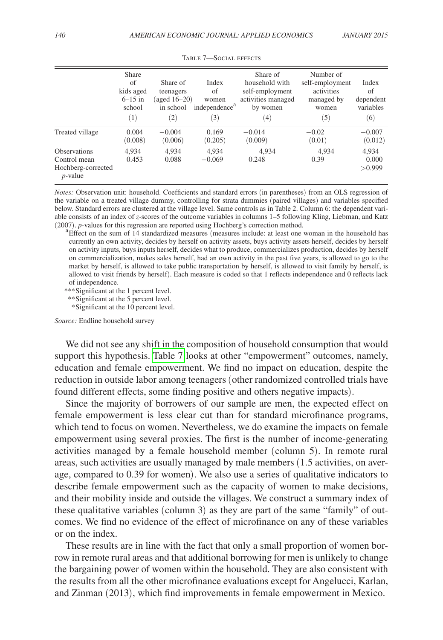|                                                                         | Share<br>of<br>kids aged<br>$6 - 15$ in<br>school<br>(1) | Share of<br>teenagers<br>(aged $16-20$ )<br>in school<br>$\left( 2\right)$ | Index<br>of<br>women<br>independence <sup>a</sup><br>(3) | Share of<br>household with<br>self-employment<br>activities managed<br>by women<br>$^{(4)}$ | Number of<br>self-employment<br>activities<br>managed by<br>women<br>(5) | Index<br>of<br>dependent<br>variables<br>(6) |
|-------------------------------------------------------------------------|----------------------------------------------------------|----------------------------------------------------------------------------|----------------------------------------------------------|---------------------------------------------------------------------------------------------|--------------------------------------------------------------------------|----------------------------------------------|
| Treated village                                                         | 0.004<br>(0.008)                                         | $-0.004$<br>(0.006)                                                        | 0.169<br>(0.205)                                         | $-0.014$<br>(0.009)                                                                         | $-0.02$<br>(0.01)                                                        | $-0.007$<br>(0.012)                          |
| <b>Observations</b><br>Control mean<br>Hochberg-corrected<br>$p$ -value | 4.934<br>0.453                                           | 4.934<br>0.088                                                             | 4.934<br>$-0.069$                                        | 4.934<br>0.248                                                                              | 4.934<br>0.39                                                            | 4.934<br>0.000<br>>0.999                     |

#### Table 7—Social effects

*Notes:* Observation unit: household. Coefficients and standard errors (in parentheses) from an OLS regression of the variable on a treated village dummy, controlling for strata dummies (paired villages) and variables specified below. Standard errors are clustered at the village level. Same controls as in Table 2. Column 6: the dependent variable consists of an index of *z-*scores of the outcome variables in columns 1–5 following Kling, Liebman, and Katz (2007). *p*-values for this regression are reported using Hochberg's correction method.<br><sup>a</sup> Effect on the sum of 14 standardized measures (measures include: at least one woman in the household has

currently an own activity, decides by herself on activity assets, buys activity assets herself, decides by herself on activity inputs, buys inputs herself, decides what to produce, commercializes production, decides by herself on commercialization, makes sales herself, had an own activity in the past five years, is allowed to go to the market by herself, is allowed to take public transportation by herself, is allowed to visit family by herself, is allowed to visit friends by herself). Each measure is coded so that 1 reflects independence and 0 reflects lack of independence.

*\*\*\**Significant at the 1 percent level.

*\*\**Significant at the 5 percent level.

 *\**Significant at the 10 percent level.

*Source:* Endline household survey

We did not see any shift in the composition of household consumption that would support this hypothesis. Table 7 looks at other "empowerment" outcomes, namely, education and female empowerment. We find no impact on education, despite the reduction in outside labor among teenagers (other randomized controlled trials have found different effects, some finding positive and others negative impacts).

Since the majority of borrowers of our sample are men, the expected effect on female empowerment is less clear cut than for standard microfinance programs, which tend to focus on women. Nevertheless, we do examine the impacts on female empowerment using several proxies. The first is the number of income-generating activities managed by a female household member (column 5). In remote rural areas, such activities are usually managed by male members (1.5 activities, on average, compared to 0.39 for women). We also use a series of qualitative indicators to describe female empowerment such as the capacity of women to make decisions, and their mobility inside and outside the villages. We construct a summary index of these qualitative variables (column 3) as they are part of the same "family" of outcomes. We find no evidence of the effect of microfinance on any of these variables or on the index.

These results are in line with the fact that only a small proportion of women borrow in remote rural areas and that additional borrowing for men is unlikely to change the bargaining power of women within the household. They are also consistent with the results from all the other microfinance evaluations except for Angelucci, Karlan, and Zinman (2013), which find improvements in female empowerment in Mexico.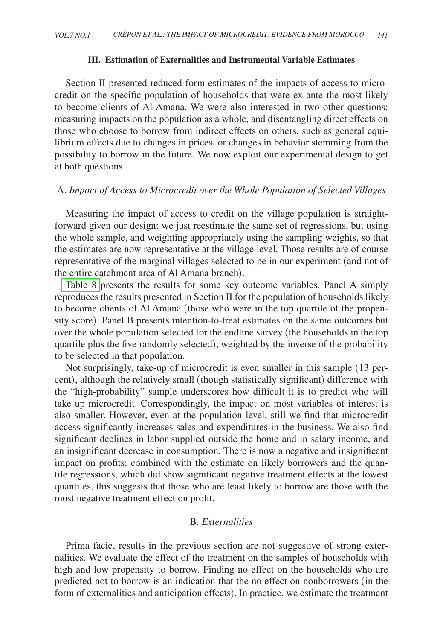# **III. Estimation of Externalities and Instrumental Variable Estimates**

Section II presented reduced-form estimates of the impacts of access to microcredit on the specific population of households that were ex ante the most likely to become clients of Al Amana. We were also interested in two other questions: measuring impacts on the population as a whole, and disentangling direct effects on those who choose to borrow from indirect effects on others, such as general equilibrium effects due to changes in prices, or changes in behavior stemming from the possibility to borrow in the future. We now exploit our experimental design to get at both questions.

# A. *Impact of Access to Microcredit over the Whole Population of Selected Villages*

Measuring the impact of access to credit on the village population is straightforward given our design: we just reestimate the same set of regressions, but using the whole sample, and weighting appropriately using the sampling weights, so that the estimates are now representative at the village level. Those results are of course representative of the marginal villages selected to be in our experiment (and not of the entire catchment area of Al Amana branch).

[Table 8](#page-19-0) presents the results for some key outcome variables. Panel A simply reproduces the results presented in Section II for the population of households likely to become clients of Al Amana (those who were in the top quartile of the propensity score). Panel B presents intention-to-treat estimates on the same outcomes but over the whole population selected for the endline survey (the households in the top quartile plus the five randomly selected), weighted by the inverse of the probability to be selected in that population.

Not surprisingly, take-up of microcredit is even smaller in this sample (13 percent), although the relatively small (though statistically significant) difference with the "high-probability" sample underscores how difficult it is to predict who will take up microcredit. Correspondingly, the impact on most variables of interest is also smaller. However, even at the population level, still we find that microcredit access significantly increases sales and expenditures in the business. We also find significant declines in labor supplied outside the home and in salary income, and an insignificant decrease in consumption. There is now a negative and insignificant impact on profits: combined with the estimate on likely borrowers and the quantile regressions, which did show significant negative treatment effects at the lowest quantiles, this suggests that those who are least likely to borrow are those with the most negative treatment effect on profit.

# B. *Externalities*

Prima facie, results in the previous section are not suggestive of strong externalities. We evaluate the effect of the treatment on the samples of households with high and low propensity to borrow. Finding no effect on the households who are predicted not to borrow is an indication that the no effect on nonborrowers (in the form of externalities and anticipation effects). In practice, we estimate the treatment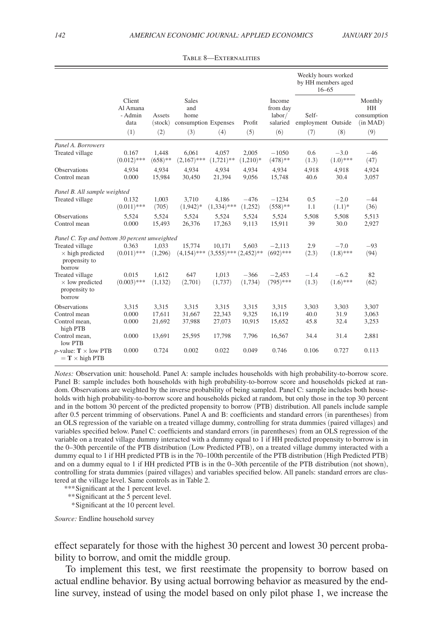<span id="page-19-0"></span>

|                                                                       |                                              |                                   |                                                            |                                      |                     | Weekly hours worked<br>by HH members aged<br>$16 - 65$ |                                    |                       |                                                        |
|-----------------------------------------------------------------------|----------------------------------------------|-----------------------------------|------------------------------------------------------------|--------------------------------------|---------------------|--------------------------------------------------------|------------------------------------|-----------------------|--------------------------------------------------------|
|                                                                       | Client<br>Al Amana<br>- Admin<br>data<br>(1) | Assets<br>$(\text{stock})$<br>(2) | <b>Sales</b><br>and<br>home<br>consumption Expenses<br>(3) | (4)                                  | Profit<br>(5)       | Income<br>from day<br>labor/<br>salaried<br>(6)        | Self-<br>employment Outside<br>(7) | (8)                   | Monthly<br><b>HH</b><br>consumption<br>(in MAD)<br>(9) |
| Panel A. Borrowers                                                    |                                              |                                   |                                                            |                                      |                     |                                                        |                                    |                       |                                                        |
| Treated village                                                       | 0.167<br>$(0.012)$ ***                       | 1.448<br>$(658)$ **               | 6.061<br>$(2,167)$ ***                                     | 4.057<br>$(1,721)$ **                | 2.005<br>$(1,210)*$ | $-1050$<br>$(478)**$                                   | 0.6<br>(1.3)                       | $-3.0$<br>$(1.0)$ *** | $-46$<br>(47)                                          |
| <b>Observations</b><br>Control mean                                   | 4,934<br>0.000                               | 4.934<br>15,984                   | 4,934<br>30,450                                            | 4,934<br>21,394                      | 4,934<br>9,056      | 4,934<br>15,748                                        | 4,918<br>40.6                      | 4,918<br>30.4         | 4,924<br>3,057                                         |
| Panel B. All sample weighted                                          |                                              |                                   |                                                            |                                      |                     |                                                        |                                    |                       |                                                        |
| Treated village                                                       | 0.132<br>$(0.011)$ ***                       | 1,003<br>(705)                    | 3,710<br>$(1,942)*$                                        | 4.186<br>$(1,334)$ ***               | $-476$<br>(1,252)   | $-1234$<br>$(558)$ **                                  | 0.5<br>1.1                         | $-2.0$<br>$(1.1)^*$   | $-44$<br>(36)                                          |
| <b>Observations</b><br>Control mean                                   | 5,524<br>0.000                               | 5,524<br>15,493                   | 5,524<br>26,376                                            | 5,524<br>17,263                      | 5,524<br>9,113      | 5,524<br>15,911                                        | 5,508<br>39                        | 5,508<br>30.0         | 5,513<br>2,927                                         |
| Panel C. Top and bottom 30 percent unweighted                         |                                              |                                   |                                                            |                                      |                     |                                                        |                                    |                       |                                                        |
| Treated village<br>$\times$ high predicted<br>propensity to<br>borrow | 0.363<br>$(0.011)$ ***                       | 1.033<br>(1,296)                  | 15,774<br>$(4.154)$ ***                                    | 10,171<br>$(3,555)$ *** $(2,452)$ ** | 5.603               | $-2,113$<br>$(692)$ ***                                | 2.9<br>(2.3)                       | $-7.0$<br>$(1.8)$ *** | $-93$<br>(94)                                          |
| Treated village<br>$\times$ low predicted<br>propensity to<br>borrow  | 0.015<br>$(0.003)$ ***                       | 1,612<br>(1, 132)                 | 647<br>(2,701)                                             | 1.013<br>(1,737)                     | $-366$<br>(1,734)   | $-2.453$<br>$(795)$ ***                                | $-1.4$<br>(1.3)                    | $-6.2$<br>$(1.6)$ *** | 82<br>(62)                                             |
| <b>Observations</b>                                                   | 3,315                                        | 3,315                             | 3,315                                                      | 3,315                                | 3,315               | 3,315                                                  | 3,303                              | 3,303                 | 3,307                                                  |
| Control mean<br>Control mean,<br>high PTB                             | 0.000<br>0.000                               | 17,611<br>21,692                  | 31,667<br>37,988                                           | 22,343<br>27,073                     | 9.325<br>10,915     | 16,119<br>15,652                                       | 40.0<br>45.8                       | 31.9<br>32.4          | 3,063<br>3,253                                         |
| Control mean,<br>low PTB                                              | 0.000                                        | 13,691                            | 25,595                                                     | 17,798                               | 7,796               | 16,567                                                 | 34.4                               | 31.4                  | 2,881                                                  |
| <i>p</i> -value: $T \times$ low PTB<br>$= T \times$ high PTB          | 0.000                                        | 0.724                             | 0.002                                                      | 0.022                                | 0.049               | 0.746                                                  | 0.106                              | 0.727                 | 0.113                                                  |

Table 8—Externalities

*Notes:* Observation unit: household. Panel A: sample includes households with high probability-to-borrow score. Panel B: sample includes both households with high probability-to-borrow score and households picked at random. Observations are weighted by the inverse probability of being sampled. Panel C: sample includes both households with high probability-to-borrow score and households picked at random, but only those in the top 30 percent and in the bottom 30 percent of the predicted propensity to borrow (PTB) distribution. All panels include sample after 0.5 percent trimming of observations. Panel A and B: coefficients and standard errors (in parentheses) from an OLS regression of the variable on a treated village dummy, controlling for strata dummies (paired villages) and variables specified below. Panel C: coefficients and standard errors (in parentheses) from an OLS regression of the variable on a treated village dummy interacted with a dummy equal to 1 if HH predicted propensity to borrow is in the 0–30th percentile of the PTB distribution (Low Predicted PTB), on a treated village dummy interacted with a dummy equal to 1 if HH predicted PTB is in the 70–100th percentile of the PTB distribution (High Predicted PTB) and on a dummy equal to 1 if HH predicted PTB is in the 0–30th percentile of the PTB distribution (not shown), controlling for strata dummies (paired villages) and variables specified below. All panels: standard errors are clustered at the village level. Same controls as in Table 2.

*\*\*\**Significant at the 1 percent level.

*\*\**Significant at the 5 percent level.

 *\**Significant at the 10 percent level.

*Source:* Endline household survey

effect separately for those with the highest 30 percent and lowest 30 percent probability to borrow, and omit the middle group.

To implement this test, we first reestimate the propensity to borrow based on actual endline behavior. By using actual borrowing behavior as measured by the endline survey, instead of using the model based on only pilot phase 1, we increase the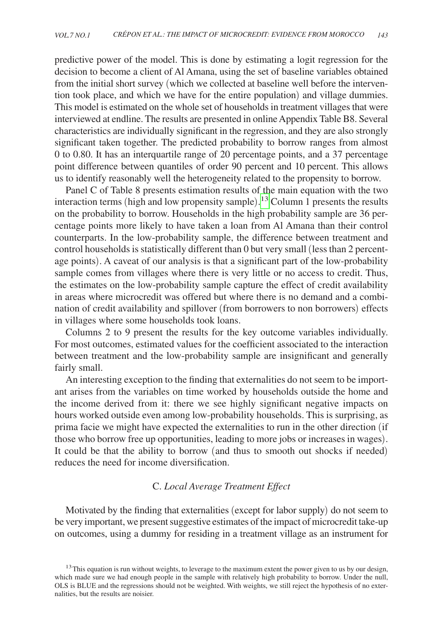predictive power of the model. This is done by estimating a logit regression for the decision to become a client of Al Amana, using the set of baseline variables obtained from the initial short survey (which we collected at baseline well before the intervention took place, and which we have for the entire population) and village dummies. This model is estimated on the whole set of households in treatment villages that were interviewed at endline. The results are presented in online Appendix Table B8. Several characteristics are individually significant in the regression, and they are also strongly significant taken together. The predicted probability to borrow ranges from almost 0 to 0.80. It has an interquartile range of 20 percentage points, and a 37 percentage point difference between quantiles of order 90 percent and 10 percent. This allows us to identify reasonably well the heterogeneity related to the propensity to borrow.

Panel C of Table 8 presents estimation results of the main equation with the two interaction terms (high and low propensity sample). [13](#page-20-0) Column 1 presents the results on the probability to borrow. Households in the high probability sample are 36 percentage points more likely to have taken a loan from Al Amana than their control counterparts. In the low-probability sample, the difference between treatment and control households is statistically different than 0 but very small (less than 2 percentage points). A caveat of our analysis is that a significant part of the low-probability sample comes from villages where there is very little or no access to credit. Thus, the estimates on the low-probability sample capture the effect of credit availability in areas where microcredit was offered but where there is no demand and a combination of credit availability and spillover (from borrowers to non borrowers) effects in villages where some households took loans.

Columns 2 to 9 present the results for the key outcome variables individually. For most outcomes, estimated values for the coefficient associated to the interaction between treatment and the low-probability sample are insignificant and generally fairly small.

An interesting exception to the finding that externalities do not seem to be important arises from the variables on time worked by households outside the home and the income derived from it: there we see highly significant negative impacts on hours worked outside even among low-probability households. This is surprising, as prima facie we might have expected the externalities to run in the other direction (if those who borrow free up opportunities, leading to more jobs or increases in wages). It could be that the ability to borrow (and thus to smooth out shocks if needed) reduces the need for income diversification.

# C. *Local Average Treatment Effect*

Motivated by the finding that externalities (except for labor supply) do not seem to be very important, we present suggestive estimates of the impact of microcredit take-up on outcomes, using a dummy for residing in a treatment village as an instrument for

<span id="page-20-0"></span><sup>&</sup>lt;sup>13</sup>This equation is run without weights, to leverage to the maximum extent the power given to us by our design, which made sure we had enough people in the sample with relatively high probability to borrow. Under the null, OLS is BLUE and the regressions should not be weighted. With weights, we still reject the hypothesis of no externalities, but the results are noisier.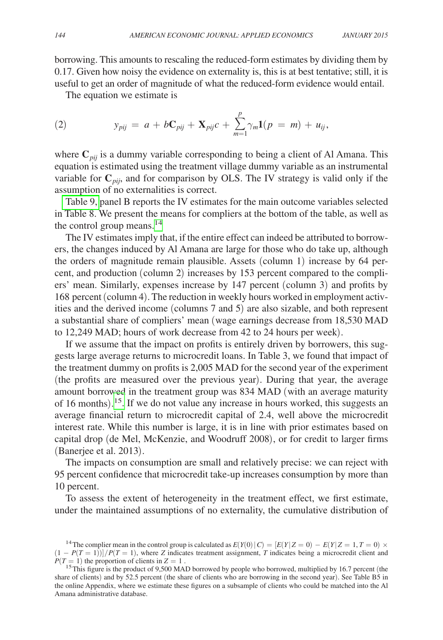borrowing. This amounts to rescaling the reduced-form estimates by dividing them by 0.17. Given how noisy the evidence on externality is, this is at best tentative; still, it is useful to get an order of magnitude of what the reduced-form evidence would entail.

The equation we estimate is

(2) 
$$
y_{pij} = a + bC_{pij} + \mathbf{X}_{pi}c + \sum_{m=1}^{p} \gamma_m \mathbf{1}(p = m) + u_{ij},
$$

where  $\mathbf{C}_{pij}$  is a dummy variable corresponding to being a client of Al Amana. This equation is estimated using the treatment village dummy variable as an instrumental variable for  $\mathbf{C}_{pi}$ , and for comparison by OLS. The IV strategy is valid only if the assumption of no externalities is correct.

[Table 9,](#page-22-0) panel B reports the IV estimates for the main outcome variables selected in Table 8. We present the means for compliers at the bottom of the table, as well as the control group means.<sup>14</sup>

The IV estimates imply that, if the entire effect can indeed be attributed to borrowers, the changes induced by Al Amana are large for those who do take up, although the orders of magnitude remain plausible. Assets (column 1) increase by 64 percent, and production (column 2) increases by 153 percent compared to the compliers' mean. Similarly, expenses increase by 147 percent (column 3) and profits by 168 percent (column 4). The reduction in weekly hours worked in employment activities and the derived income (columns 7 and 5) are also sizable, and both represent a substantial share of compliers' mean (wage earnings decrease from 18,530 MAD to 12,249 MAD; hours of work decrease from 42 to 24 hours per week).

If we assume that the impact on profits is entirely driven by borrowers, this suggests large average returns to microcredit loans. In Table 3, we found that impact of the treatment dummy on profits is 2,005 MAD for the second year of the experiment (the profits are measured over the previous year). During that year, the average amount borrowed in the treatment group was 834 MAD (with an average maturity of 16 months). [15.](#page-21-1) If we do not value any increase in hours worked, this suggests an average financial return to microcredit capital of 2.4, well above the microcredit interest rate. While this number is large, it is in line with prior estimates based on capital drop (de Mel, McKenzie, and Woodruff 2008), or for credit to larger firms (Banerjee et al. 2013).

The impacts on consumption are small and relatively precise: we can reject with 95 percent confidence that microcredit take-up increases consumption by more than 10 percent.

To assess the extent of heterogeneity in the treatment effect, we first estimate, under the maintained assumptions of no externality, the cumulative distribution of

<span id="page-21-0"></span><sup>&</sup>lt;sup>14</sup> The complier mean in the control group is calculated as  $E(Y(0) | C) = [E(Y | Z = 0) - E(Y | Z = 1, T = 0) \times$  $(1 - P(T = 1))$ ]/*P*(*T* = 1), where *Z* indicates treatment assignment, *T* indicates being a microcredit client and *P*(*T* = 1) the proportion of clients in *Z* = 1.

<span id="page-21-1"></span><sup>&</sup>lt;sup>15</sup> This figure is the product of 9,500 MAD borrowed by people who borrowed, multiplied by 16.7 percent (the share of clients) and by 52.5 percent (the share of clients who are borrowing in the second year). See Table B5 in the online Appendix, where we estimate these figures on a subsample of clients who could be matched into the Al Amana administrative database.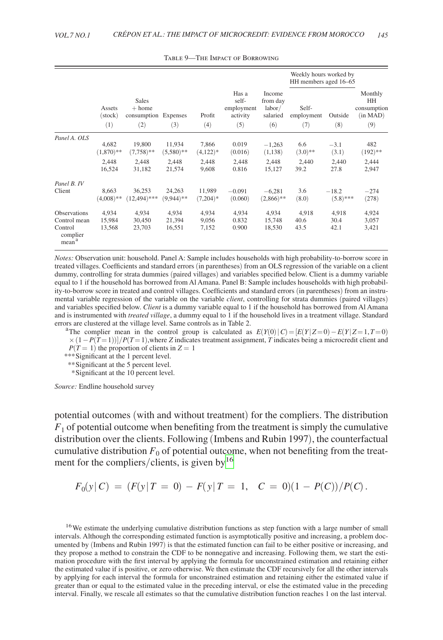<span id="page-22-0"></span>

|                                                                                 |                           |                                                         |                           |                         |                                                 |                                                 | Weekly hours worked by<br>HH members aged 16-65 |                       |                                                        |  |
|---------------------------------------------------------------------------------|---------------------------|---------------------------------------------------------|---------------------------|-------------------------|-------------------------------------------------|-------------------------------------------------|-------------------------------------------------|-----------------------|--------------------------------------------------------|--|
|                                                                                 | Assets<br>(stock)<br>(1)  | <b>Sales</b><br>$+$ home<br>consumption Expenses<br>(2) | (3)                       | Profit<br>(4)           | Has a<br>self-<br>employment<br>activity<br>(5) | Income<br>from day<br>labor/<br>salaried<br>(6) | Self-<br>employment<br>(7)                      | Outside<br>(8)        | Monthly<br><b>HH</b><br>consumption<br>(in MAD)<br>(9) |  |
| Panel A. OLS                                                                    | 4,682                     | 19.800                                                  | 11,934                    | 7,866                   | 0.019                                           | $-1,263$                                        | 6.6                                             | $-3.1$                | 482                                                    |  |
|                                                                                 | $(1,870)$ **              | $(7,758)$ **                                            | $(5,580)$ **              | $(4,122)*$              | (0.016)                                         | (1, 138)                                        | $(3.0)**$                                       | (3.1)                 | $(192)$ **                                             |  |
|                                                                                 | 2.448                     | 2.448                                                   | 2,448                     | 2.448                   | 2.448                                           | 2,448                                           | 2,440                                           | 2.440                 | 2,444                                                  |  |
|                                                                                 | 16,524                    | 31,182                                                  | 21,574                    | 9.608                   | 0.816                                           | 15,127                                          | 39.2                                            | 27.8                  | 2,947                                                  |  |
| Panel B. IV                                                                     | 8,663                     | 36,253                                                  | 24,263                    | 11,989                  | $-0.091$                                        | $-6,281$                                        | 3.6                                             | $-18.2$               | $-274$                                                 |  |
| Client                                                                          | $(4,008)$ **              | $(12,494)$ ***                                          | $(9,944)$ **              | $(7,204)*$              | (0.060)                                         | $(2,866)$ **                                    | (8.0)                                           | $(5.8)$ ***           | (278)                                                  |  |
| <b>Observations</b><br>Control mean<br>Control<br>complier<br>mean <sup>a</sup> | 4,934<br>15,984<br>13,568 | 4.934<br>30,450<br>23,703                               | 4,934<br>21,394<br>16,551 | 4,934<br>9,056<br>7,152 | 4,934<br>0.832<br>0.900                         | 4,934<br>15,748<br>18,530                       | 4,918<br>40.6<br>43.5                           | 4,918<br>30.4<br>42.1 | 4,924<br>3,057<br>3,421                                |  |

Table 9—The Impact of Borrowing

*Notes:* Observation unit: household. Panel A: Sample includes households with high probability-to-borrow score in treated villages. Coefficients and standard errors (in parentheses) from an OLS regression of the variable on a client dummy, controlling for strata dummies (paired villages) and variables specified below. Client is a dummy variable equal to 1 if the household has borrowed from Al Amana. Panel B: Sample includes households with high probability-to-borrow score in treated and control villages. Coefficients and standard errors (in parentheses) from an instrumental variable regression of the variable on the variable *client*, controlling for strata dummies (paired villages) and variables specified below. *Client* is a dummy variable equal to 1 if the household has borrowed from Al Amana and is instrumented with *treated village*, a dummy equal to 1 if the household lives in a treatment village. Standard

errors are clustered at the village level. Same controls as in Table 2.<br><sup>a</sup>The complier mean in the control group is calculated as  $E(Y(0) | C) = [E(Y | Z=0) - E(Y | Z=1, T=0)]$ ×(1−*P*(*T*=1))]/*P*(*T*=1),where *Z* indicates treatment assignment, *T* indicates being a microcredit client and  $P(T = 1)$  the proportion of clients in  $Z = 1$ 

*\*\*\**Significant at the 1 percent level.

*\*\**Significant at the 5 percent level.

 *\**Significant at the 10 percent level.

*Source:* Endline household survey

potential outcomes (with and without treatment) for the compliers. The distribution  $F_1$  of potential outcome when benefiting from the treatment is simply the cumulative distribution over the clients. Following (Imbens and Rubin 1997), the counterfactual cumulative distribution  $F_0$  of potential outcome, when not benefiting from the treatment for the compliers/clients, is given by  $16$ 

$$
F_0(y|C) = (F(y|T = 0) - F(y|T = 1, C = 0)(1 - P(C))/P(C).
$$

<span id="page-22-1"></span><sup>16</sup>We estimate the underlying cumulative distribution functions as step function with a large number of small intervals. Although the corresponding estimated function is asymptotically positive and increasing, a problem documented by (Imbens and Rubin 1997) is that the estimated function can fail to be either positive or increasing, and they propose a method to constrain the CDF to be nonnegative and increasing. Following them, we start the estimation procedure with the first interval by applying the formula for unconstrained estimation and retaining either the estimated value if is positive, or zero otherwise. We then estimate the CDF recursively for all the other intervals by applying for each interval the formula for unconstrained estimation and retaining either the estimated value if greater than or equal to the estimated value in the preceding interval, or else the estimated value in the preceding interval. Finally, we rescale all estimates so that the cumulative distribution function reaches 1 on the last interval.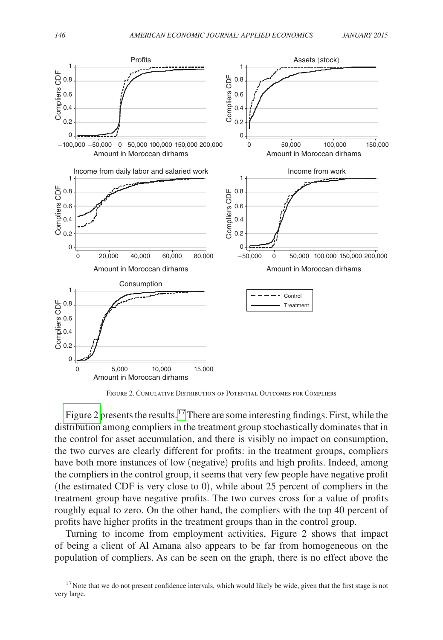

Figure 2. Cumulative Distribution of Potential Outcomes for Compliers

Figure 2 presents the results.<sup>[17](#page-23-0)</sup> There are some interesting findings. First, while the distribution among compliers in the treatment group stochastically dominates that in the control for asset accumulation, and there is visibly no impact on consumption, the two curves are clearly different for profits: in the treatment groups, compliers have both more instances of low (negative) profits and high profits. Indeed, among the compliers in the control group, it seems that very few people have negative profit (the estimated CDF is very close to 0), while about 25 percent of compliers in the treatment group have negative profits. The two curves cross for a value of profits roughly equal to zero. On the other hand, the compliers with the top 40 percent of profits have higher profits in the treatment groups than in the control group.

Turning to income from employment activities, Figure 2 shows that impact of being a client of Al Amana also appears to be far from homogeneous on the population of compliers. As can be seen on the graph, there is no effect above the

<span id="page-23-0"></span> $17$ Note that we do not present confidence intervals, which would likely be wide, given that the first stage is not very large.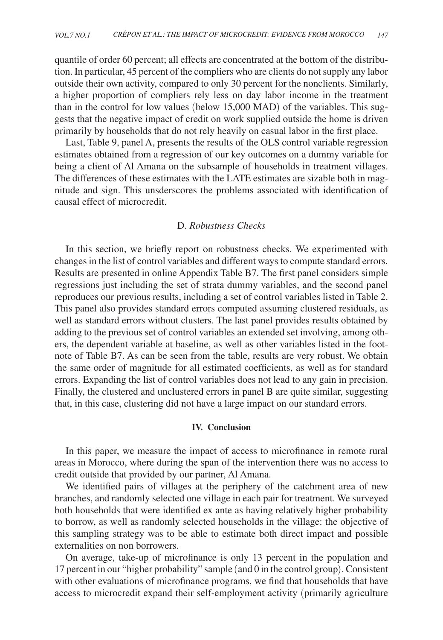quantile of order 60 percent; all effects are concentrated at the bottom of the distribution. In particular, 45 percent of the compliers who are clients do not supply any labor outside their own activity, compared to only 30 percent for the nonclients. Similarly, a higher proportion of compliers rely less on day labor income in the treatment than in the control for low values (below 15,000 MAD) of the variables. This suggests that the negative impact of credit on work supplied outside the home is driven primarily by households that do not rely heavily on casual labor in the first place.

Last, Table 9, panel A, presents the results of the OLS control variable regression estimates obtained from a regression of our key outcomes on a dummy variable for being a client of Al Amana on the subsample of households in treatment villages. The differences of these estimates with the LATE estimates are sizable both in magnitude and sign. This unsderscores the problems associated with identification of causal effect of microcredit.

# D. *Robustness Checks*

In this section, we briefly report on robustness checks. We experimented with changes in the list of control variables and different ways to compute standard errors. Results are presented in online Appendix Table B7. The first panel considers simple regressions just including the set of strata dummy variables, and the second panel reproduces our previous results, including a set of control variables listed in Table 2. This panel also provides standard errors computed assuming clustered residuals, as well as standard errors without clusters. The last panel provides results obtained by adding to the previous set of control variables an extended set involving, among others, the dependent variable at baseline, as well as other variables listed in the footnote of Table B7. As can be seen from the table, results are very robust. We obtain the same order of magnitude for all estimated coefficients, as well as for standard errors. Expanding the list of control variables does not lead to any gain in precision. Finally, the clustered and unclustered errors in panel B are quite similar, suggesting that, in this case, clustering did not have a large impact on our standard errors.

# **IV. Conclusion**

In this paper, we measure the impact of access to microfinance in remote rural areas in Morocco, where during the span of the intervention there was no access to credit outside that provided by our partner, Al Amana.

We identified pairs of villages at the periphery of the catchment area of new branches, and randomly selected one village in each pair for treatment. We surveyed both households that were identified ex ante as having relatively higher probability to borrow, as well as randomly selected households in the village: the objective of this sampling strategy was to be able to estimate both direct impact and possible externalities on non borrowers.

On average, take-up of microfinance is only 13 percent in the population and 17 percent in our "higher probability" sample (and 0 in the control group). Consistent with other evaluations of microfinance programs, we find that households that have access to microcredit expand their self-employment activity (primarily agriculture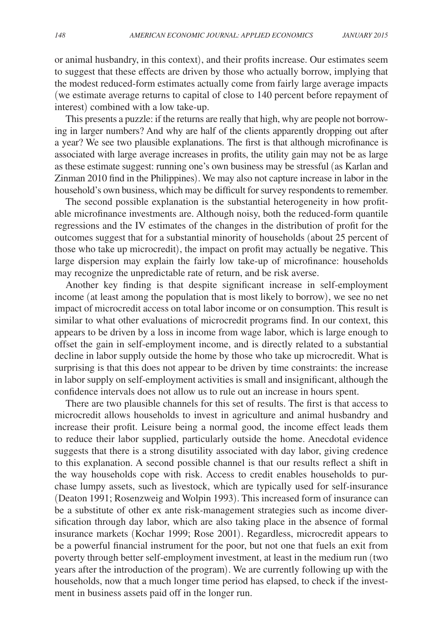or animal husbandry, in this context), and their profits increase. Our estimates seem to suggest that these effects are driven by those who actually borrow, implying that the modest reduced-form estimates actually come from fairly large average impacts (we estimate average returns to capital of close to 140 percent before repayment of interest) combined with a low take-up.

This presents a puzzle: if the returns are really that high, why are people not borrowing in larger numbers? And why are half of the clients apparently dropping out after a year? We see two plausible explanations. The first is that although microfinance is associated with large average increases in profits, the utility gain may not be as large as these estimate suggest: running one's own business may be stressful (as Karlan and Zinman 2010 find in the Philippines). We may also not capture increase in labor in the household's own business, which may be difficult for survey respondents to remember.

The second possible explanation is the substantial heterogeneity in how profitable microfinance investments are. Although noisy, both the reduced-form quantile regressions and the IV estimates of the changes in the distribution of profit for the outcomes suggest that for a substantial minority of households (about 25 percent of those who take up microcredit), the impact on profit may actually be negative. This large dispersion may explain the fairly low take-up of microfinance: households may recognize the unpredictable rate of return, and be risk averse.

Another key finding is that despite significant increase in self-employment income (at least among the population that is most likely to borrow), we see no net impact of microcredit access on total labor income or on consumption. This result is similar to what other evaluations of microcredit programs find. In our context, this appears to be driven by a loss in income from wage labor, which is large enough to offset the gain in self-employment income, and is directly related to a substantial decline in labor supply outside the home by those who take up microcredit. What is surprising is that this does not appear to be driven by time constraints: the increase in labor supply on self-employment activities is small and insignificant, although the confidence intervals does not allow us to rule out an increase in hours spent.

There are two plausible channels for this set of results. The first is that access to microcredit allows households to invest in agriculture and animal husbandry and increase their profit. Leisure being a normal good, the income effect leads them to reduce their labor supplied, particularly outside the home. Anecdotal evidence suggests that there is a strong disutility associated with day labor, giving credence to this explanation. A second possible channel is that our results reflect a shift in the way households cope with risk. Access to credit enables households to purchase lumpy assets, such as livestock, which are typically used for self-insurance (Deaton 1991; Rosenzweig and Wolpin 1993). This increased form of insurance can be a substitute of other ex ante risk-management strategies such as income diversification through day labor, which are also taking place in the absence of formal insurance markets (Kochar 1999; Rose 2001). Regardless, microcredit appears to be a powerful financial instrument for the poor, but not one that fuels an exit from poverty through better self-employment investment, at least in the medium run (two years after the introduction of the program). We are currently following up with the households, now that a much longer time period has elapsed, to check if the investment in business assets paid off in the longer run.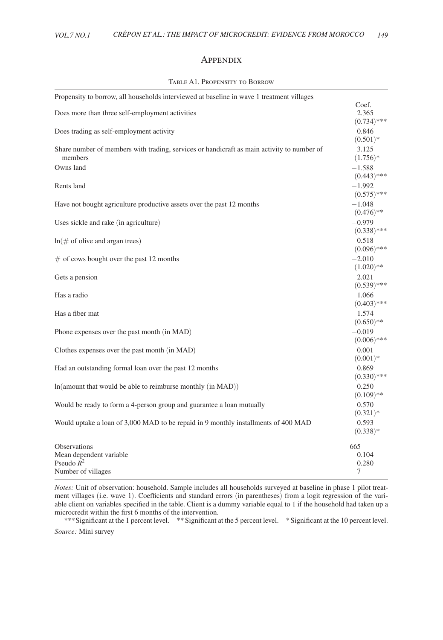### **APPENDIX**

<span id="page-26-0"></span>

| Propensity to borrow, all households interviewed at baseline in wave 1 treatment villages             |                                 |
|-------------------------------------------------------------------------------------------------------|---------------------------------|
| Does more than three self-employment activities                                                       | Coef.<br>2.365<br>$(0.734)$ *** |
| Does trading as self-employment activity                                                              | 0.846<br>$(0.501)*$             |
| Share number of members with trading, services or handicraft as main activity to number of<br>members | 3.125<br>$(1.756)*$             |
| Owns land                                                                                             | $-1.588$<br>$(0.443)$ ***       |
| Rents land                                                                                            | $-1.992$<br>$(0.575)$ ***       |
| Have not bought agriculture productive assets over the past 12 months                                 | $-1.048$<br>$(0.476)**$         |
| Uses sickle and rake (in agriculture)                                                                 | $-0.979$<br>$(0.338)$ ***       |
| $ln(\text{# of}$ of olive and argan trees)                                                            | 0.518<br>$(0.096)$ ***          |
| $\#$ of cows bought over the past 12 months                                                           | $-2.010$<br>$(1.020)**$         |
| Gets a pension                                                                                        | 2.021<br>$(0.539)$ ***          |
| Has a radio                                                                                           | 1.066<br>$(0.403)$ ***          |
| Has a fiber mat                                                                                       | 1.574<br>$(0.650)**$            |
| Phone expenses over the past month (in MAD)                                                           | $-0.019$<br>$(0.006)$ ***       |
| Clothes expenses over the past month (in MAD)                                                         | 0.001<br>$(0.001)*$             |
| Had an outstanding formal loan over the past 12 months                                                | 0.869<br>$(0.330)$ ***          |
| $ln($ amount that would be able to reimburse monthly $(in MAD))$                                      | 0.250<br>$(0.109)$ **           |
| Would be ready to form a 4-person group and guarantee a loan mutually                                 | 0.570<br>$(0.321)*$             |
| Would uptake a loan of 3,000 MAD to be repaid in 9 monthly installments of 400 MAD                    | 0.593<br>$(0.338)*$             |
| <b>Observations</b><br>Mean dependent variable<br>Pseudo $R^2$<br>Number of villages                  | 665<br>0.104<br>0.280<br>7      |

### Table A1. Propensity to Borrow

*Notes:* Unit of observation: household. Sample includes all households surveyed at baseline in phase 1 pilot treatment villages (i.e. wave 1). Coefficients and standard errors (in parentheses) from a logit regression of the variable client on variables specified in the table. Client is a dummy variable equal to 1 if the household had taken up a microcredit within the first 6 months of the intervention.

*\*\*\**Significant at the 1 percent level. \*\*Significant at the 5 percent level. \*Significant at the 10 percent level. *Source:* Mini survey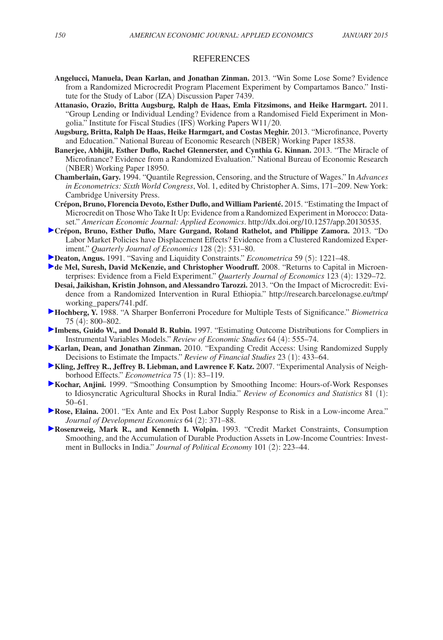### REFERENCES

- **Angelucci, Manuela, Dean Karlan, and Jonathan Zinman.** 2013. "Win Some Lose Some? Evidence from a Randomized Microcredit Program Placement Experiment by Compartamos Banco." Institute for the Study of Labor (IZA) Discussion Paper 7439.
- **Attanasio, Orazio, Britta Augsburg, Ralph de Haas, Emla Fitzsimons, and Heike Harmgart.** 2011. "Group Lending or Individual Lending? Evidence from a Randomised Field Experiment in Mongolia." Institute for Fiscal Studies (IFS) Working Papers W11/20.
- **Augsburg, Britta, Ralph De Haas, Heike Harmgart, and Costas Meghir.** 2013. "Microfinance, Poverty and Education." National Bureau of Economic Research (NBER) Working Paper 18538.
- **Banerjee, Abhijit, Esther Duflo, Rachel Glennerster, and Cynthia G. Kinnan.** 2013. "The Miracle of Microfinance? Evidence from a Randomized Evaluation." National Bureau of Economic Research (NBER) Working Paper 18950.
- **Chamberlain, Gary.** 1994. "Quantile Regression, Censoring, and the Structure of Wages." In *Advances in Econometrics: Sixth World Congress*, Vol. 1, edited by Christopher A. Sims, 171–209. New York: Cambridge University Press.
- **Crépon, Bruno, Florencia Devoto, Esther Duflo, and William Parienté.** 2015. "Estimating the Impact of Microcredit on Those Who Take It Up: Evidence from a Randomized Experiment in Morocco: Dataset." *American Economic Journal: Applied Economics*.<http://dx.doi.org/10.1257/app.20130535>.
- **Crépon, Bruno, Esther Duflo, Marc Gurgand, Roland Rathelot, and Philippe Zamora.** 2013. "Do Labor Market Policies have Displacement Effects? Evidence from a Clustered Randomized Experiment." *Quarterly Journal of Economics* 128 (2): 531–80.
- **Deaton, Angus.** 1991. "Saving and Liquidity Constraints." *Econometrica* 59 (5): 1221–48.
- **de Mel, Suresh, David McKenzie, and Christopher Woodruff.** 2008. "Returns to Capital in Microenterprises: Evidence from a Field Experiment." *Quarterly Journal of Economics* 123 (4): 1329–72.
- **Desai, Jaikishan, Kristin Johnson, and Alessandro Tarozzi.** 2013. "On the Impact of Microcredit: Evidence from a Randomized Intervention in Rural Ethiopia." [http://research.barcelonagse.eu/tmp/](http://research.barcelonagse.eu/tmp/working_papers/741.pdf) [working\\_papers/741.pdf](http://research.barcelonagse.eu/tmp/working_papers/741.pdf).
- **Hochberg, Y.** 1988. "A Sharper Bonferroni Procedure for Multiple Tests of Significance." *Biometrica*  75 (4): 800–802.
- **Imbens, Guido W., and Donald B. Rubin.** 1997. "Estimating Outcome Distributions for Compliers in Instrumental Variables Models." *Review of Economic Studies* 64 (4): 555–74.
- **Karlan, Dean, and Jonathan Zinman.** 2010. "Expanding Credit Access: Using Randomized Supply Decisions to Estimate the Impacts." *Review of Financial Studies* 23 (1): 433–64.
- **Kling, Jeffrey R., Jeffrey B. Liebman, and Lawrence F. Katz.** 2007. "Experimental Analysis of Neighborhood Effects." *Econometrica* 75 (1): 83–119.
- **Kochar, Anjini.** 1999. "Smoothing Consumption by Smoothing Income: Hours-of-Work Responses to Idiosyncratic Agricultural Shocks in Rural India." *Review of Economics and Statistics* 81 (1): 50–61.
- **Rose, Elaina.** 2001. "Ex Ante and Ex Post Labor Supply Response to Risk in a Low-income Area." *Journal of Development Economics* 64 (2): 371–88.
- **Rosenzweig, Mark R., and Kenneth I. Wolpin.** 1993. "Credit Market Constraints, Consumption Smoothing, and the Accumulation of Durable Production Assets in Low-Income Countries: Investment in Bullocks in India." *Journal of Political Economy* 101 (2): 223–44.